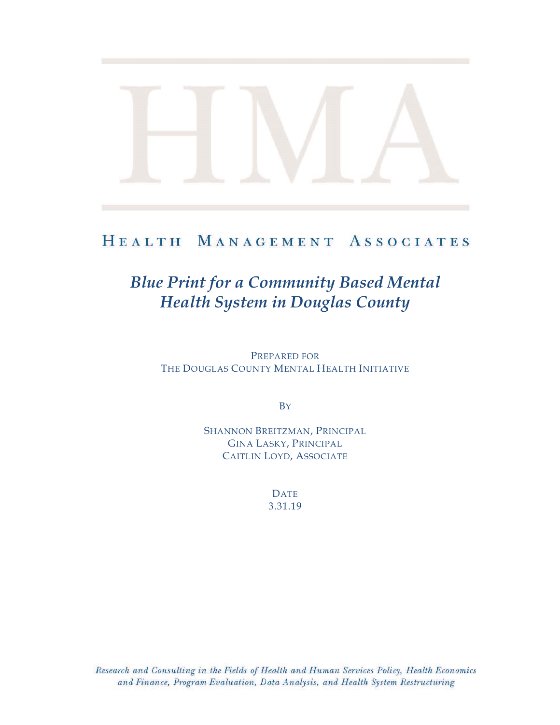# HEALTH MANAGEMENT ASSOCIATES

# *Blue Print for a Community Based Mental Health System in Douglas County*

PREPARED FOR THE DOUGLAS COUNTY MENTAL HEALTH INITIATIVE

**B**Y

SHANNON BREITZMAN, PRINCIPAL GINA LASKY, PRINCIPAL CAITLIN LOYD, ASSOCIATE

> DATE 3.31.19

Research and Consulting in the Fields of Health and Human Services Policy, Health Economics and Finance, Program Evaluation, Data Analysis, and Health System Restructuring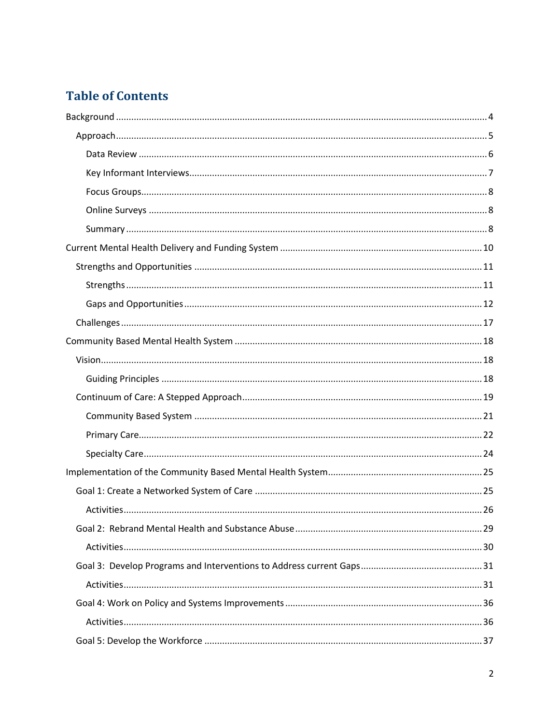# **Table of Contents**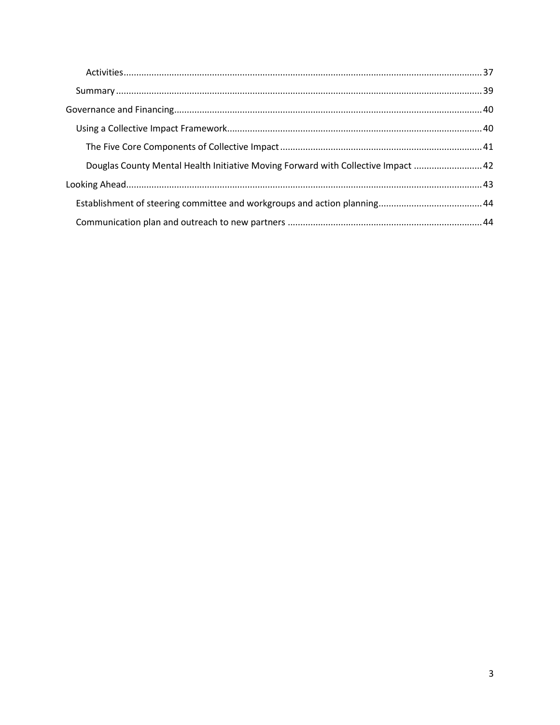| Douglas County Mental Health Initiative Moving Forward with Collective Impact  42 |  |
|-----------------------------------------------------------------------------------|--|
|                                                                                   |  |
|                                                                                   |  |
|                                                                                   |  |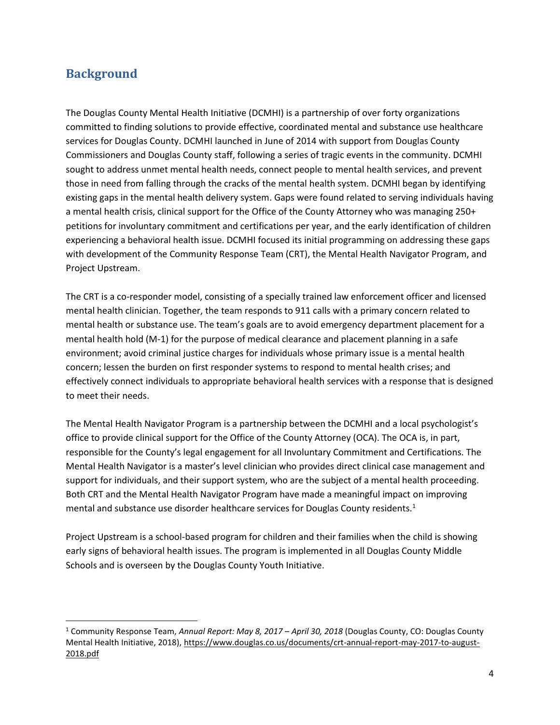# <span id="page-3-0"></span>**Background**

 $\overline{a}$ 

The Douglas County Mental Health Initiative (DCMHI) is a partnership of over forty organizations committed to finding solutions to provide effective, coordinated mental and substance use healthcare services for Douglas County. DCMHI launched in June of 2014 with support from Douglas County Commissioners and Douglas County staff, following a series of tragic events in the community. DCMHI sought to address unmet mental health needs, connect people to mental health services, and prevent those in need from falling through the cracks of the mental health system. DCMHI began by identifying existing gaps in the mental health delivery system. Gaps were found related to serving individuals having a mental health crisis, clinical support for the Office of the County Attorney who was managing 250+ petitions for involuntary commitment and certifications per year, and the early identification of children experiencing a behavioral health issue. DCMHI focused its initial programming on addressing these gaps with development of the Community Response Team (CRT), the Mental Health Navigator Program, and Project Upstream.

The CRT is a co-responder model, consisting of a specially trained law enforcement officer and licensed mental health clinician. Together, the team responds to 911 calls with a primary concern related to mental health or substance use. The team's goals are to avoid emergency department placement for a mental health hold (M-1) for the purpose of medical clearance and placement planning in a safe environment; avoid criminal justice charges for individuals whose primary issue is a mental health concern; lessen the burden on first responder systems to respond to mental health crises; and effectively connect individuals to appropriate behavioral health services with a response that is designed to meet their needs.

The Mental Health Navigator Program is a partnership between the DCMHI and a local psychologist's office to provide clinical support for the Office of the County Attorney (OCA). The OCA is, in part, responsible for the County's legal engagement for all Involuntary Commitment and Certifications. The Mental Health Navigator is a master's level clinician who provides direct clinical case management and support for individuals, and their support system, who are the subject of a mental health proceeding. Both CRT and the Mental Health Navigator Program have made a meaningful impact on improving mental and substance use disorder healthcare services for Douglas County residents.<sup>1</sup>

Project Upstream is a school-based program for children and their families when the child is showing early signs of behavioral health issues. The program is implemented in all Douglas County Middle Schools and is overseen by the Douglas County Youth Initiative.

<sup>1</sup> Community Response Team, *Annual Report: May 8, 2017 – April 30, 2018* (Douglas County, CO: Douglas County Mental Health Initiative, 2018), [https://www.douglas.co.us/documents/crt-annual-report-may-2017-to-august-](https://www.douglas.co.us/documents/crt-annual-report-may-2017-to-august-2018.pdf)[2018.pdf](https://www.douglas.co.us/documents/crt-annual-report-may-2017-to-august-2018.pdf)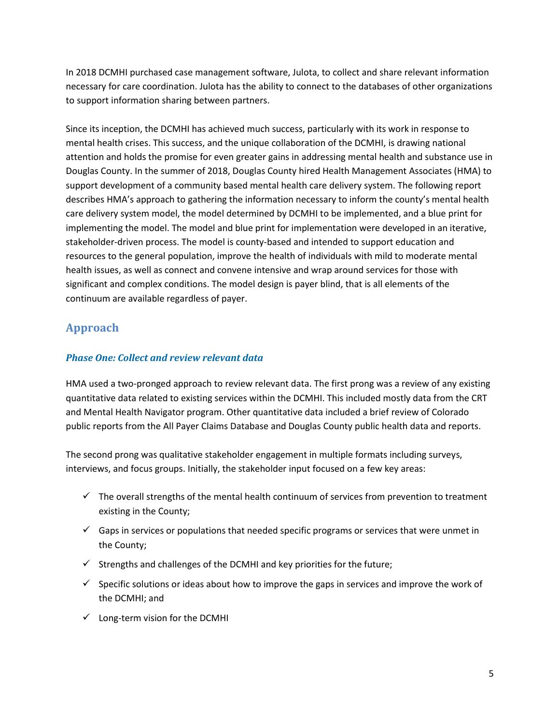In 2018 DCMHI purchased case management software, Julota, to collect and share relevant information necessary for care coordination. Julota has the ability to connect to the databases of other organizations to support information sharing between partners.

Since its inception, the DCMHI has achieved much success, particularly with its work in response to mental health crises. This success, and the unique collaboration of the DCMHI, is drawing national attention and holds the promise for even greater gains in addressing mental health and substance use in Douglas County. In the summer of 2018, Douglas County hired Health Management Associates (HMA) to support development of a community based mental health care delivery system. The following report describes HMA's approach to gathering the information necessary to inform the county's mental health care delivery system model, the model determined by DCMHI to be implemented, and a blue print for implementing the model. The model and blue print for implementation were developed in an iterative, stakeholder-driven process. The model is county-based and intended to support education and resources to the general population, improve the health of individuals with mild to moderate mental health issues, as well as connect and convene intensive and wrap around services for those with significant and complex conditions. The model design is payer blind, that is all elements of the continuum are available regardless of payer.

# <span id="page-4-0"></span>**Approach**

### *Phase One: Collect and review relevant data*

HMA used a two-pronged approach to review relevant data. The first prong was a review of any existing quantitative data related to existing services within the DCMHI. This included mostly data from the CRT and Mental Health Navigator program. Other quantitative data included a brief review of Colorado public reports from the All Payer Claims Database and Douglas County public health data and reports.

The second prong was qualitative stakeholder engagement in multiple formats including surveys, interviews, and focus groups. Initially, the stakeholder input focused on a few key areas:

- $\checkmark$  The overall strengths of the mental health continuum of services from prevention to treatment existing in the County;
- $\checkmark$  Gaps in services or populations that needed specific programs or services that were unmet in the County;
- $\checkmark$  Strengths and challenges of the DCMHI and key priorities for the future;
- $\checkmark$  Specific solutions or ideas about how to improve the gaps in services and improve the work of the DCMHI; and
- $\checkmark$  Long-term vision for the DCMHI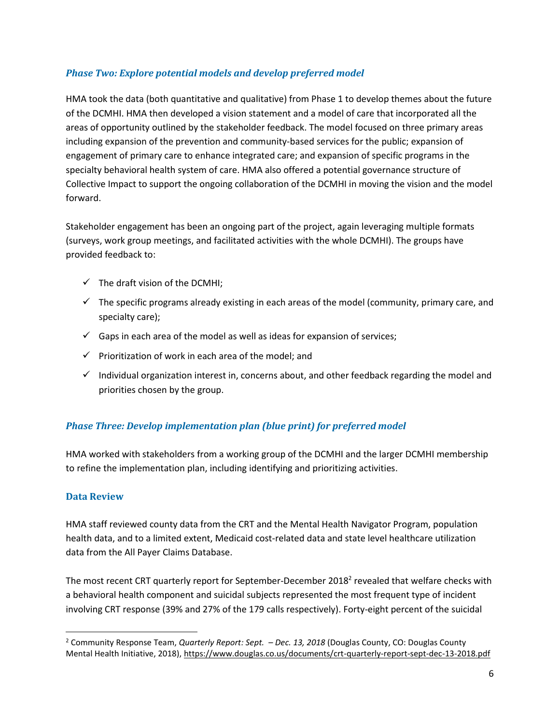#### *Phase Two: Explore potential models and develop preferred model*

HMA took the data (both quantitative and qualitative) from Phase 1 to develop themes about the future of the DCMHI. HMA then developed a vision statement and a model of care that incorporated all the areas of opportunity outlined by the stakeholder feedback. The model focused on three primary areas including expansion of the prevention and community-based services for the public; expansion of engagement of primary care to enhance integrated care; and expansion of specific programs in the specialty behavioral health system of care. HMA also offered a potential governance structure of Collective Impact to support the ongoing collaboration of the DCMHI in moving the vision and the model forward.

Stakeholder engagement has been an ongoing part of the project, again leveraging multiple formats (surveys, work group meetings, and facilitated activities with the whole DCMHI). The groups have provided feedback to:

- $\checkmark$  The draft vision of the DCMHI;
- $\checkmark$  The specific programs already existing in each areas of the model (community, primary care, and specialty care);
- $\checkmark$  Gaps in each area of the model as well as ideas for expansion of services;
- $\checkmark$  Prioritization of work in each area of the model; and
- $\checkmark$  Individual organization interest in, concerns about, and other feedback regarding the model and priorities chosen by the group.

#### *Phase Three: Develop implementation plan (blue print) for preferred model*

HMA worked with stakeholders from a working group of the DCMHI and the larger DCMHI membership to refine the implementation plan, including identifying and prioritizing activities.

#### <span id="page-5-0"></span>**Data Review**

 $\overline{\phantom{a}}$ 

HMA staff reviewed county data from the CRT and the Mental Health Navigator Program, population health data, and to a limited extent, Medicaid cost-related data and state level healthcare utilization data from the All Payer Claims Database.

The most recent CRT quarterly report for September-December 2018<sup>2</sup> revealed that welfare checks with a behavioral health component and suicidal subjects represented the most frequent type of incident involving CRT response (39% and 27% of the 179 calls respectively). Forty-eight percent of the suicidal

<sup>2</sup> Community Response Team, *Quarterly Report: Sept. – Dec. 13, 2018* (Douglas County, CO: Douglas County Mental Health Initiative, 2018),<https://www.douglas.co.us/documents/crt-quarterly-report-sept-dec-13-2018.pdf>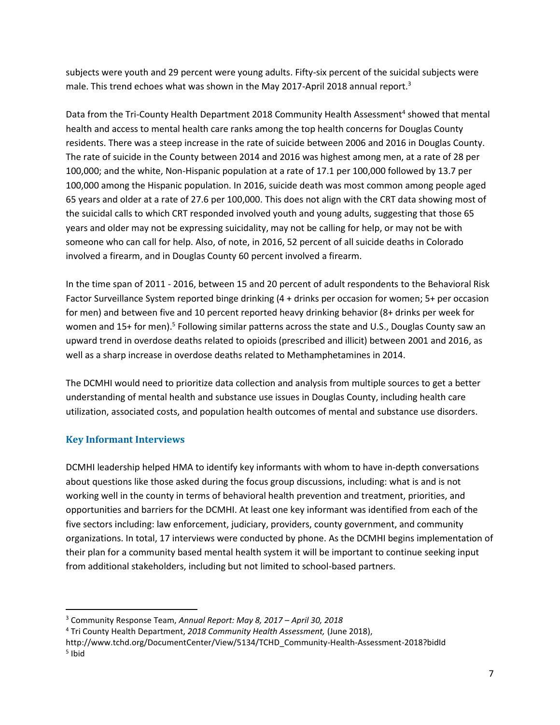subjects were youth and 29 percent were young adults. Fifty-six percent of the suicidal subjects were male. This trend echoes what was shown in the May 2017-April 2018 annual report.<sup>3</sup>

Data from the Tri-County Health Department 2018 Community Health Assessment<sup>4</sup> showed that mental health and access to mental health care ranks among the top health concerns for Douglas County residents. There was a steep increase in the rate of suicide between 2006 and 2016 in Douglas County. The rate of suicide in the County between 2014 and 2016 was highest among men, at a rate of 28 per 100,000; and the white, Non-Hispanic population at a rate of 17.1 per 100,000 followed by 13.7 per 100,000 among the Hispanic population. In 2016, suicide death was most common among people aged 65 years and older at a rate of 27.6 per 100,000. This does not align with the CRT data showing most of the suicidal calls to which CRT responded involved youth and young adults, suggesting that those 65 years and older may not be expressing suicidality, may not be calling for help, or may not be with someone who can call for help. Also, of note, in 2016, 52 percent of all suicide deaths in Colorado involved a firearm, and in Douglas County 60 percent involved a firearm.

In the time span of 2011 - 2016, between 15 and 20 percent of adult respondents to the Behavioral Risk Factor Surveillance System reported binge drinking (4 + drinks per occasion for women; 5+ per occasion for men) and between five and 10 percent reported heavy drinking behavior (8+ drinks per week for women and 15+ for men).<sup>5</sup> Following similar patterns across the state and U.S., Douglas County saw an upward trend in overdose deaths related to opioids (prescribed and illicit) between 2001 and 2016, as well as a sharp increase in overdose deaths related to Methamphetamines in 2014.

The DCMHI would need to prioritize data collection and analysis from multiple sources to get a better understanding of mental health and substance use issues in Douglas County, including health care utilization, associated costs, and population health outcomes of mental and substance use disorders.

#### <span id="page-6-0"></span>**Key Informant Interviews**

l

DCMHI leadership helped HMA to identify key informants with whom to have in-depth conversations about questions like those asked during the focus group discussions, including: what is and is not working well in the county in terms of behavioral health prevention and treatment, priorities, and opportunities and barriers for the DCMHI. At least one key informant was identified from each of the five sectors including: law enforcement, judiciary, providers, county government, and community organizations. In total, 17 interviews were conducted by phone. As the DCMHI begins implementation of their plan for a community based mental health system it will be important to continue seeking input from additional stakeholders, including but not limited to school-based partners.

<sup>3</sup> Community Response Team, *Annual Report: May 8, 2017 – April 30, 2018*

<sup>4</sup> Tri County Health Department, *2018 Community Health Assessment,* (June 2018),

http://www.tchd.org/DocumentCenter/View/5134/TCHD\_Community-Health-Assessment-2018?bidId <sup>5</sup> Ibid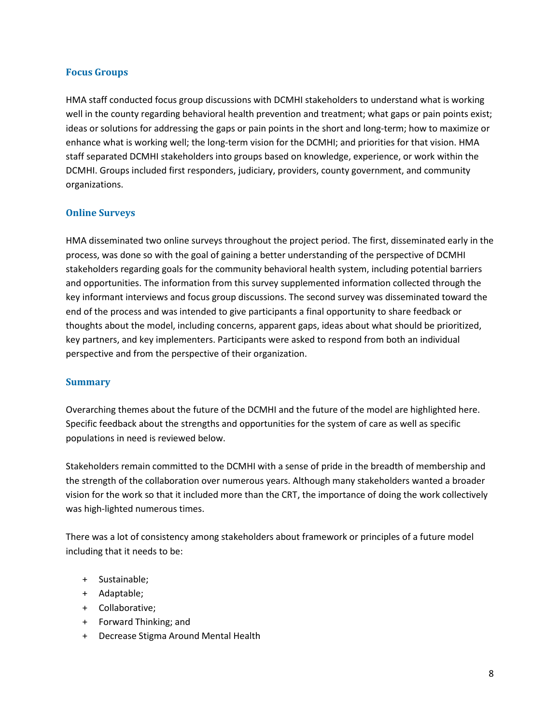#### <span id="page-7-0"></span>**Focus Groups**

HMA staff conducted focus group discussions with DCMHI stakeholders to understand what is working well in the county regarding behavioral health prevention and treatment; what gaps or pain points exist; ideas or solutions for addressing the gaps or pain points in the short and long-term; how to maximize or enhance what is working well; the long-term vision for the DCMHI; and priorities for that vision. HMA staff separated DCMHI stakeholders into groups based on knowledge, experience, or work within the DCMHI. Groups included first responders, judiciary, providers, county government, and community organizations.

#### <span id="page-7-1"></span>**Online Surveys**

HMA disseminated two online surveys throughout the project period. The first, disseminated early in the process, was done so with the goal of gaining a better understanding of the perspective of DCMHI stakeholders regarding goals for the community behavioral health system, including potential barriers and opportunities. The information from this survey supplemented information collected through the key informant interviews and focus group discussions. The second survey was disseminated toward the end of the process and was intended to give participants a final opportunity to share feedback or thoughts about the model, including concerns, apparent gaps, ideas about what should be prioritized, key partners, and key implementers. Participants were asked to respond from both an individual perspective and from the perspective of their organization.

#### <span id="page-7-2"></span>**Summary**

Overarching themes about the future of the DCMHI and the future of the model are highlighted here. Specific feedback about the strengths and opportunities for the system of care as well as specific populations in need is reviewed below.

Stakeholders remain committed to the DCMHI with a sense of pride in the breadth of membership and the strength of the collaboration over numerous years. Although many stakeholders wanted a broader vision for the work so that it included more than the CRT, the importance of doing the work collectively was high-lighted numerous times.

There was a lot of consistency among stakeholders about framework or principles of a future model including that it needs to be:

- + Sustainable;
- + Adaptable;
- + Collaborative;
- + Forward Thinking; and
- + Decrease Stigma Around Mental Health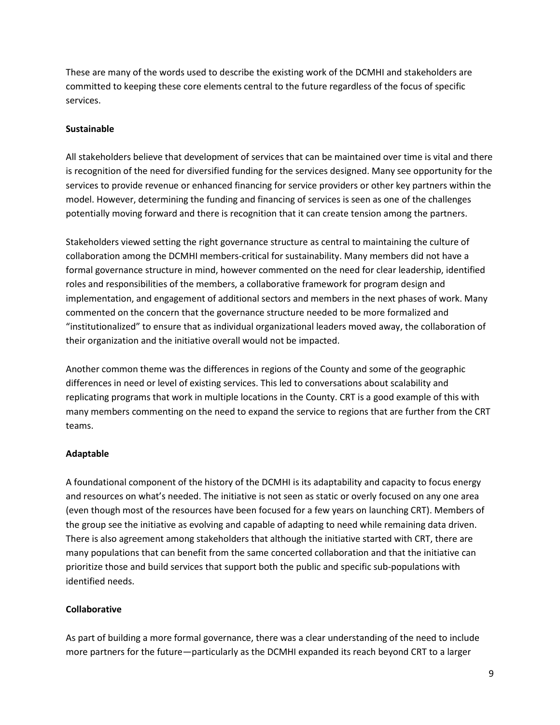These are many of the words used to describe the existing work of the DCMHI and stakeholders are committed to keeping these core elements central to the future regardless of the focus of specific services.

#### **Sustainable**

All stakeholders believe that development of services that can be maintained over time is vital and there is recognition of the need for diversified funding for the services designed. Many see opportunity for the services to provide revenue or enhanced financing for service providers or other key partners within the model. However, determining the funding and financing of services is seen as one of the challenges potentially moving forward and there is recognition that it can create tension among the partners.

Stakeholders viewed setting the right governance structure as central to maintaining the culture of collaboration among the DCMHI members-critical for sustainability. Many members did not have a formal governance structure in mind, however commented on the need for clear leadership, identified roles and responsibilities of the members, a collaborative framework for program design and implementation, and engagement of additional sectors and members in the next phases of work. Many commented on the concern that the governance structure needed to be more formalized and "institutionalized" to ensure that as individual organizational leaders moved away, the collaboration of their organization and the initiative overall would not be impacted.

Another common theme was the differences in regions of the County and some of the geographic differences in need or level of existing services. This led to conversations about scalability and replicating programs that work in multiple locations in the County. CRT is a good example of this with many members commenting on the need to expand the service to regions that are further from the CRT teams.

#### **Adaptable**

A foundational component of the history of the DCMHI is its adaptability and capacity to focus energy and resources on what's needed. The initiative is not seen as static or overly focused on any one area (even though most of the resources have been focused for a few years on launching CRT). Members of the group see the initiative as evolving and capable of adapting to need while remaining data driven. There is also agreement among stakeholders that although the initiative started with CRT, there are many populations that can benefit from the same concerted collaboration and that the initiative can prioritize those and build services that support both the public and specific sub-populations with identified needs.

#### **Collaborative**

As part of building a more formal governance, there was a clear understanding of the need to include more partners for the future—particularly as the DCMHI expanded its reach beyond CRT to a larger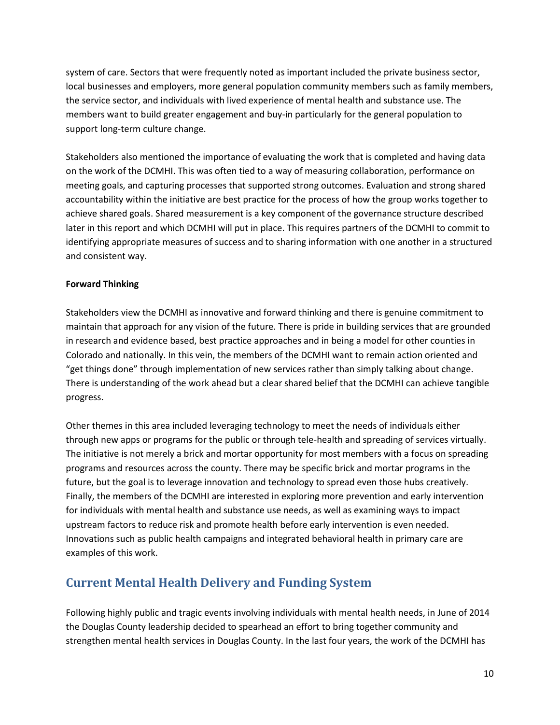system of care. Sectors that were frequently noted as important included the private business sector, local businesses and employers, more general population community members such as family members, the service sector, and individuals with lived experience of mental health and substance use. The members want to build greater engagement and buy-in particularly for the general population to support long-term culture change.

Stakeholders also mentioned the importance of evaluating the work that is completed and having data on the work of the DCMHI. This was often tied to a way of measuring collaboration, performance on meeting goals, and capturing processes that supported strong outcomes. Evaluation and strong shared accountability within the initiative are best practice for the process of how the group works together to achieve shared goals. Shared measurement is a key component of the governance structure described later in this report and which DCMHI will put in place. This requires partners of the DCMHI to commit to identifying appropriate measures of success and to sharing information with one another in a structured and consistent way.

#### **Forward Thinking**

Stakeholders view the DCMHI as innovative and forward thinking and there is genuine commitment to maintain that approach for any vision of the future. There is pride in building services that are grounded in research and evidence based, best practice approaches and in being a model for other counties in Colorado and nationally. In this vein, the members of the DCMHI want to remain action oriented and "get things done" through implementation of new services rather than simply talking about change. There is understanding of the work ahead but a clear shared belief that the DCMHI can achieve tangible progress.

Other themes in this area included leveraging technology to meet the needs of individuals either through new apps or programs for the public or through tele-health and spreading of services virtually. The initiative is not merely a brick and mortar opportunity for most members with a focus on spreading programs and resources across the county. There may be specific brick and mortar programs in the future, but the goal is to leverage innovation and technology to spread even those hubs creatively. Finally, the members of the DCMHI are interested in exploring more prevention and early intervention for individuals with mental health and substance use needs, as well as examining ways to impact upstream factors to reduce risk and promote health before early intervention is even needed. Innovations such as public health campaigns and integrated behavioral health in primary care are examples of this work.

# <span id="page-9-0"></span>**Current Mental Health Delivery and Funding System**

Following highly public and tragic events involving individuals with mental health needs, in June of 2014 the Douglas County leadership decided to spearhead an effort to bring together community and strengthen mental health services in Douglas County. In the last four years, the work of the DCMHI has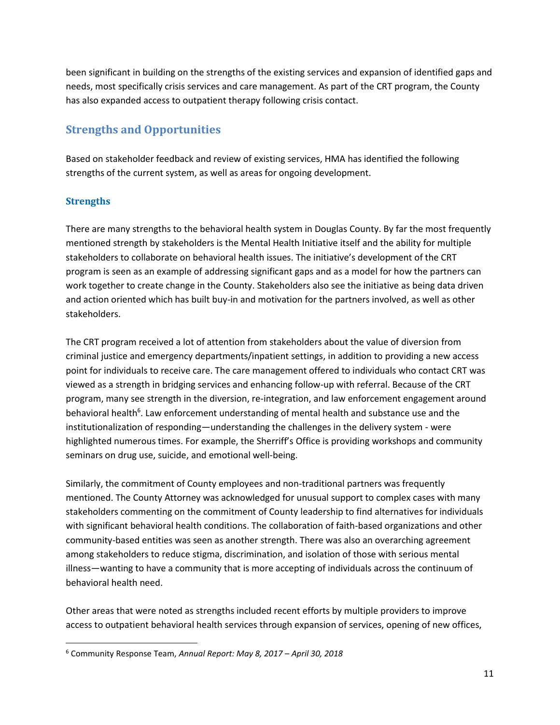been significant in building on the strengths of the existing services and expansion of identified gaps and needs, most specifically crisis services and care management. As part of the CRT program, the County has also expanded access to outpatient therapy following crisis contact.

# <span id="page-10-0"></span>**Strengths and Opportunities**

Based on stakeholder feedback and review of existing services, HMA has identified the following strengths of the current system, as well as areas for ongoing development.

#### <span id="page-10-1"></span>**Strengths**

 $\overline{\phantom{a}}$ 

There are many strengths to the behavioral health system in Douglas County. By far the most frequently mentioned strength by stakeholders is the Mental Health Initiative itself and the ability for multiple stakeholders to collaborate on behavioral health issues. The initiative's development of the CRT program is seen as an example of addressing significant gaps and as a model for how the partners can work together to create change in the County. Stakeholders also see the initiative as being data driven and action oriented which has built buy-in and motivation for the partners involved, as well as other stakeholders.

The CRT program received a lot of attention from stakeholders about the value of diversion from criminal justice and emergency departments/inpatient settings, in addition to providing a new access point for individuals to receive care. The care management offered to individuals who contact CRT was viewed as a strength in bridging services and enhancing follow-up with referral. Because of the CRT program, many see strength in the diversion, re-integration, and law enforcement engagement around behavioral health<sup>6</sup>. Law enforcement understanding of mental health and substance use and the institutionalization of responding—understanding the challenges in the delivery system - were highlighted numerous times. For example, the Sherriff's Office is providing workshops and community seminars on drug use, suicide, and emotional well-being.

Similarly, the commitment of County employees and non-traditional partners was frequently mentioned. The County Attorney was acknowledged for unusual support to complex cases with many stakeholders commenting on the commitment of County leadership to find alternatives for individuals with significant behavioral health conditions. The collaboration of faith-based organizations and other community-based entities was seen as another strength. There was also an overarching agreement among stakeholders to reduce stigma, discrimination, and isolation of those with serious mental illness—wanting to have a community that is more accepting of individuals across the continuum of behavioral health need.

Other areas that were noted as strengths included recent efforts by multiple providers to improve access to outpatient behavioral health services through expansion of services, opening of new offices,

<sup>6</sup> Community Response Team, *Annual Report: May 8, 2017 – April 30, 2018*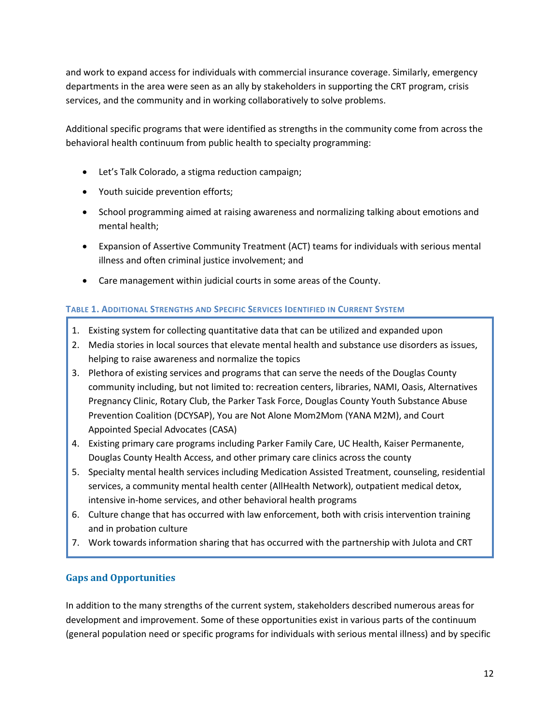and work to expand access for individuals with commercial insurance coverage. Similarly, emergency departments in the area were seen as an ally by stakeholders in supporting the CRT program, crisis services, and the community and in working collaboratively to solve problems.

Additional specific programs that were identified as strengths in the community come from across the behavioral health continuum from public health to specialty programming:

- Let's Talk Colorado, a stigma reduction campaign;
- Youth suicide prevention efforts;
- School programming aimed at raising awareness and normalizing talking about emotions and mental health;
- Expansion of Assertive Community Treatment (ACT) teams for individuals with serious mental illness and often criminal justice involvement; and
- Care management within judicial courts in some areas of the County.

#### **TABLE 1. ADDITIONAL STRENGTHS AND SPECIFIC SERVICES IDENTIFIED IN CURRENT SYSTEM**

- 1. Existing system for collecting quantitative data that can be utilized and expanded upon
- 2. Media stories in local sources that elevate mental health and substance use disorders as issues, helping to raise awareness and normalize the topics
- 3. Plethora of existing services and programs that can serve the needs of the Douglas County community including, but not limited to: recreation centers, libraries, NAMI, Oasis, Alternatives Pregnancy Clinic, Rotary Club, the Parker Task Force, Douglas County Youth Substance Abuse Prevention Coalition (DCYSAP), You are Not Alone Mom2Mom (YANA M2M), and Court Appointed Special Advocates (CASA)
- 4. Existing primary care programs including Parker Family Care, UC Health, Kaiser Permanente, Douglas County Health Access, and other primary care clinics across the county
- 5. Specialty mental health services including Medication Assisted Treatment, counseling, residential services, a community mental health center (AllHealth Network), outpatient medical detox, intensive in-home services, and other behavioral health programs
- 6. Culture change that has occurred with law enforcement, both with crisis intervention training and in probation culture
- 7. Work towards information sharing that has occurred with the partnership with Julota and CRT

#### <span id="page-11-0"></span>**Gaps and Opportunities**

In addition to the many strengths of the current system, stakeholders described numerous areas for development and improvement. Some of these opportunities exist in various parts of the continuum (general population need or specific programs for individuals with serious mental illness) and by specific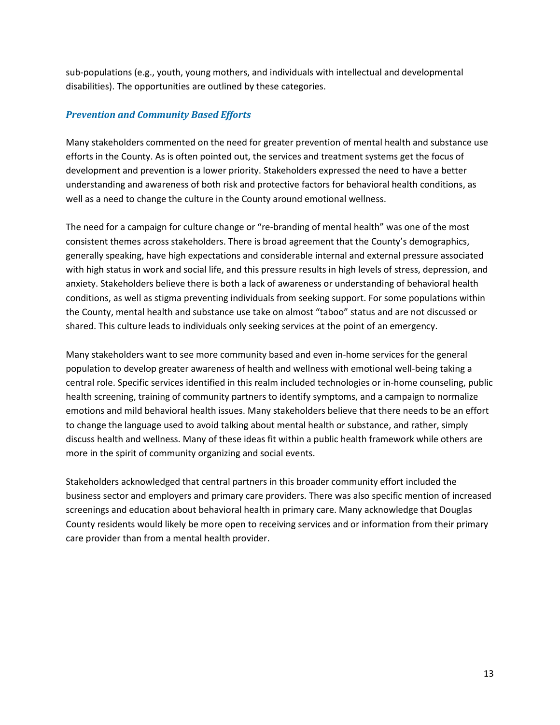sub-populations (e.g., youth, young mothers, and individuals with intellectual and developmental disabilities). The opportunities are outlined by these categories.

#### *Prevention and Community Based Efforts*

Many stakeholders commented on the need for greater prevention of mental health and substance use efforts in the County. As is often pointed out, the services and treatment systems get the focus of development and prevention is a lower priority. Stakeholders expressed the need to have a better understanding and awareness of both risk and protective factors for behavioral health conditions, as well as a need to change the culture in the County around emotional wellness.

The need for a campaign for culture change or "re-branding of mental health" was one of the most consistent themes across stakeholders. There is broad agreement that the County's demographics, generally speaking, have high expectations and considerable internal and external pressure associated with high status in work and social life, and this pressure results in high levels of stress, depression, and anxiety. Stakeholders believe there is both a lack of awareness or understanding of behavioral health conditions, as well as stigma preventing individuals from seeking support. For some populations within the County, mental health and substance use take on almost "taboo" status and are not discussed or shared. This culture leads to individuals only seeking services at the point of an emergency.

Many stakeholders want to see more community based and even in-home services for the general population to develop greater awareness of health and wellness with emotional well-being taking a central role. Specific services identified in this realm included technologies or in-home counseling, public health screening, training of community partners to identify symptoms, and a campaign to normalize emotions and mild behavioral health issues. Many stakeholders believe that there needs to be an effort to change the language used to avoid talking about mental health or substance, and rather, simply discuss health and wellness. Many of these ideas fit within a public health framework while others are more in the spirit of community organizing and social events.

Stakeholders acknowledged that central partners in this broader community effort included the business sector and employers and primary care providers. There was also specific mention of increased screenings and education about behavioral health in primary care. Many acknowledge that Douglas County residents would likely be more open to receiving services and or information from their primary care provider than from a mental health provider.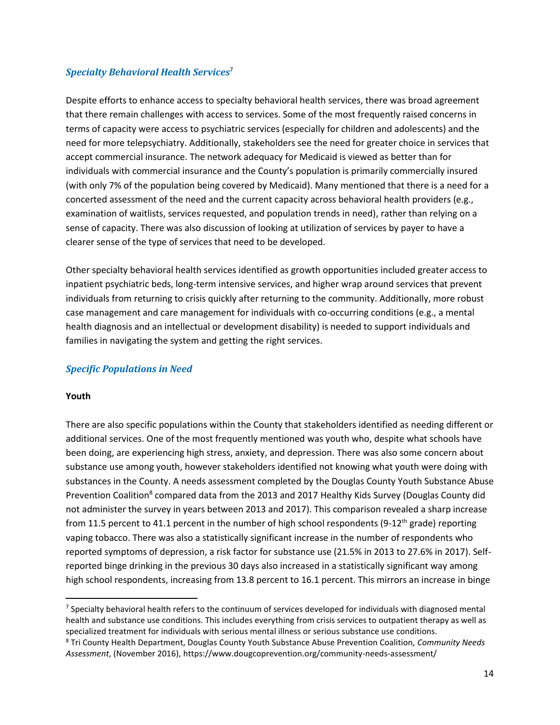#### *Specialty Behavioral Health Services*<sup>7</sup>

Despite efforts to enhance access to specialty behavioral health services, there was broad agreement that there remain challenges with access to services. Some of the most frequently raised concerns in terms of capacity were access to psychiatric services (especially for children and adolescents) and the need for more telepsychiatry. Additionally, stakeholders see the need for greater choice in services that accept commercial insurance. The network adequacy for Medicaid is viewed as better than for individuals with commercial insurance and the County's population is primarily commercially insured (with only 7% of the population being covered by Medicaid). Many mentioned that there is a need for a concerted assessment of the need and the current capacity across behavioral health providers (e.g., examination of waitlists, services requested, and population trends in need), rather than relying on a sense of capacity. There was also discussion of looking at utilization of services by payer to have a clearer sense of the type of services that need to be developed.

Other specialty behavioral health services identified as growth opportunities included greater access to inpatient psychiatric beds, long-term intensive services, and higher wrap around services that prevent individuals from returning to crisis quickly after returning to the community. Additionally, more robust case management and care management for individuals with co-occurring conditions (e.g., a mental health diagnosis and an intellectual or development disability) is needed to support individuals and families in navigating the system and getting the right services.

#### *Specific Populations in Need*

#### **Youth**

 $\overline{\phantom{a}}$ 

There are also specific populations within the County that stakeholders identified as needing different or additional services. One of the most frequently mentioned was youth who, despite what schools have been doing, are experiencing high stress, anxiety, and depression. There was also some concern about substance use among youth, however stakeholders identified not knowing what youth were doing with substances in the County. A needs assessment completed by the Douglas County Youth Substance Abuse Prevention Coalition<sup>8</sup> compared data from the 2013 and 2017 Healthy Kids Survey (Douglas County did not administer the survey in years between 2013 and 2017). This comparison revealed a sharp increase from 11.5 percent to 41.1 percent in the number of high school respondents (9-12<sup>th</sup> grade) reporting vaping tobacco. There was also a statistically significant increase in the number of respondents who reported symptoms of depression, a risk factor for substance use (21.5% in 2013 to 27.6% in 2017). Selfreported binge drinking in the previous 30 days also increased in a statistically significant way among high school respondents, increasing from 13.8 percent to 16.1 percent. This mirrors an increase in binge

 $7$  Specialty behavioral health refers to the continuum of services developed for individuals with diagnosed mental health and substance use conditions. This includes everything from crisis services to outpatient therapy as well as specialized treatment for individuals with serious mental illness or serious substance use conditions. <sup>8</sup> Tri County Health Department, Douglas County Youth Substance Abuse Prevention Coalition*, Community Needs* 

*Assessment*, (November 2016), https://www.dougcoprevention.org/community-needs-assessment/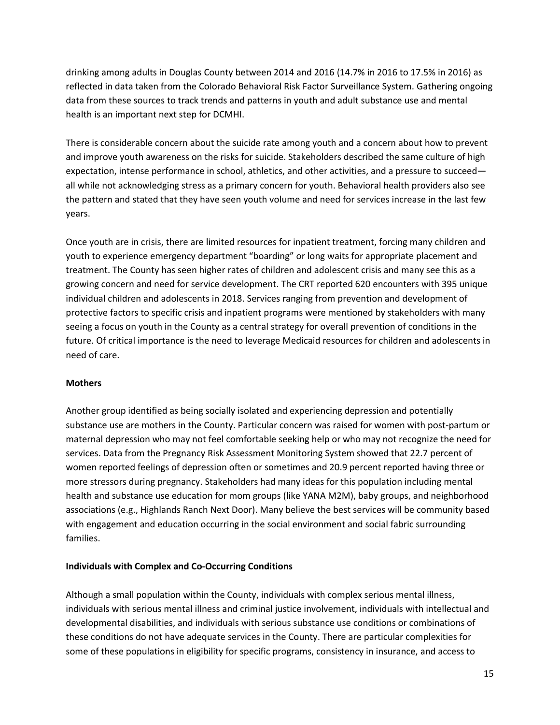drinking among adults in Douglas County between 2014 and 2016 (14.7% in 2016 to 17.5% in 2016) as reflected in data taken from the Colorado Behavioral Risk Factor Surveillance System. Gathering ongoing data from these sources to track trends and patterns in youth and adult substance use and mental health is an important next step for DCMHI.

There is considerable concern about the suicide rate among youth and a concern about how to prevent and improve youth awareness on the risks for suicide. Stakeholders described the same culture of high expectation, intense performance in school, athletics, and other activities, and a pressure to succeed all while not acknowledging stress as a primary concern for youth. Behavioral health providers also see the pattern and stated that they have seen youth volume and need for services increase in the last few years.

Once youth are in crisis, there are limited resources for inpatient treatment, forcing many children and youth to experience emergency department "boarding" or long waits for appropriate placement and treatment. The County has seen higher rates of children and adolescent crisis and many see this as a growing concern and need for service development. The CRT reported 620 encounters with 395 unique individual children and adolescents in 2018. Services ranging from prevention and development of protective factors to specific crisis and inpatient programs were mentioned by stakeholders with many seeing a focus on youth in the County as a central strategy for overall prevention of conditions in the future. Of critical importance is the need to leverage Medicaid resources for children and adolescents in need of care.

#### **Mothers**

Another group identified as being socially isolated and experiencing depression and potentially substance use are mothers in the County. Particular concern was raised for women with post-partum or maternal depression who may not feel comfortable seeking help or who may not recognize the need for services. Data from the Pregnancy Risk Assessment Monitoring System showed that 22.7 percent of women reported feelings of depression often or sometimes and 20.9 percent reported having three or more stressors during pregnancy. Stakeholders had many ideas for this population including mental health and substance use education for mom groups (like YANA M2M), baby groups, and neighborhood associations (e.g., Highlands Ranch Next Door). Many believe the best services will be community based with engagement and education occurring in the social environment and social fabric surrounding families.

#### **Individuals with Complex and Co-Occurring Conditions**

Although a small population within the County, individuals with complex serious mental illness, individuals with serious mental illness and criminal justice involvement, individuals with intellectual and developmental disabilities, and individuals with serious substance use conditions or combinations of these conditions do not have adequate services in the County. There are particular complexities for some of these populations in eligibility for specific programs, consistency in insurance, and access to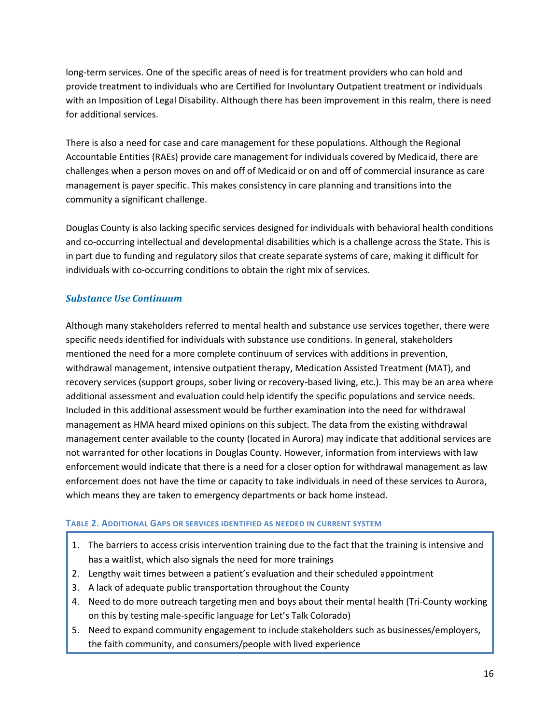long-term services. One of the specific areas of need is for treatment providers who can hold and provide treatment to individuals who are Certified for Involuntary Outpatient treatment or individuals with an Imposition of Legal Disability. Although there has been improvement in this realm, there is need for additional services.

There is also a need for case and care management for these populations. Although the Regional Accountable Entities (RAEs) provide care management for individuals covered by Medicaid, there are challenges when a person moves on and off of Medicaid or on and off of commercial insurance as care management is payer specific. This makes consistency in care planning and transitions into the community a significant challenge.

Douglas County is also lacking specific services designed for individuals with behavioral health conditions and co-occurring intellectual and developmental disabilities which is a challenge across the State. This is in part due to funding and regulatory silos that create separate systems of care, making it difficult for individuals with co-occurring conditions to obtain the right mix of services.

#### *Substance Use Continuum*

Although many stakeholders referred to mental health and substance use services together, there were specific needs identified for individuals with substance use conditions. In general, stakeholders mentioned the need for a more complete continuum of services with additions in prevention, withdrawal management, intensive outpatient therapy, Medication Assisted Treatment (MAT), and recovery services (support groups, sober living or recovery-based living, etc.). This may be an area where additional assessment and evaluation could help identify the specific populations and service needs. Included in this additional assessment would be further examination into the need for withdrawal management as HMA heard mixed opinions on this subject. The data from the existing withdrawal management center available to the county (located in Aurora) may indicate that additional services are not warranted for other locations in Douglas County. However, information from interviews with law enforcement would indicate that there is a need for a closer option for withdrawal management as law enforcement does not have the time or capacity to take individuals in need of these services to Aurora, which means they are taken to emergency departments or back home instead.

#### **TABLE 2. ADDITIONAL GAPS OR SERVICES IDENTIFIED AS NEEDED IN CURRENT SYSTEM**

- 1. The barriers to access crisis intervention training due to the fact that the training is intensive and has a waitlist, which also signals the need for more trainings
- 2. Lengthy wait times between a patient's evaluation and their scheduled appointment
- 3. A lack of adequate public transportation throughout the County
- 4. Need to do more outreach targeting men and boys about their mental health (Tri-County working on this by testing male-specific language for Let's Talk Colorado)
- 5. Need to expand community engagement to include stakeholders such as businesses/employers, the faith community, and consumers/people with lived experience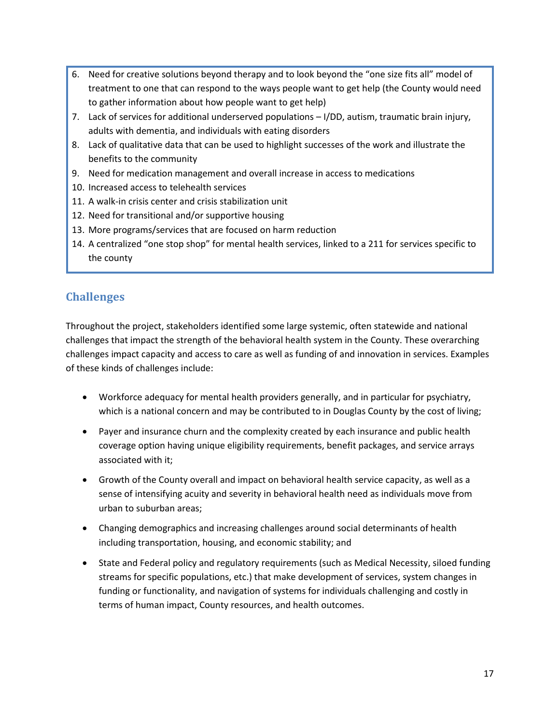- 6. Need for creative solutions beyond therapy and to look beyond the "one size fits all" model of treatment to one that can respond to the ways people want to get help (the County would need to gather information about how people want to get help)
- 7. Lack of services for additional underserved populations I/DD, autism, traumatic brain injury, adults with dementia, and individuals with eating disorders
- 8. Lack of qualitative data that can be used to highlight successes of the work and illustrate the benefits to the community
- 9. Need for medication management and overall increase in access to medications
- 10. Increased access to telehealth services
- 11. A walk-in crisis center and crisis stabilization unit
- 12. Need for transitional and/or supportive housing
- 13. More programs/services that are focused on harm reduction
- 14. A centralized "one stop shop" for mental health services, linked to a 211 for services specific to the county

# <span id="page-16-0"></span>**Challenges**

Throughout the project, stakeholders identified some large systemic, often statewide and national challenges that impact the strength of the behavioral health system in the County. These overarching challenges impact capacity and access to care as well as funding of and innovation in services. Examples of these kinds of challenges include:

- Workforce adequacy for mental health providers generally, and in particular for psychiatry, which is a national concern and may be contributed to in Douglas County by the cost of living;
- Payer and insurance churn and the complexity created by each insurance and public health coverage option having unique eligibility requirements, benefit packages, and service arrays associated with it;
- Growth of the County overall and impact on behavioral health service capacity, as well as a sense of intensifying acuity and severity in behavioral health need as individuals move from urban to suburban areas;
- Changing demographics and increasing challenges around social determinants of health including transportation, housing, and economic stability; and
- State and Federal policy and regulatory requirements (such as Medical Necessity, siloed funding streams for specific populations, etc.) that make development of services, system changes in funding or functionality, and navigation of systems for individuals challenging and costly in terms of human impact, County resources, and health outcomes.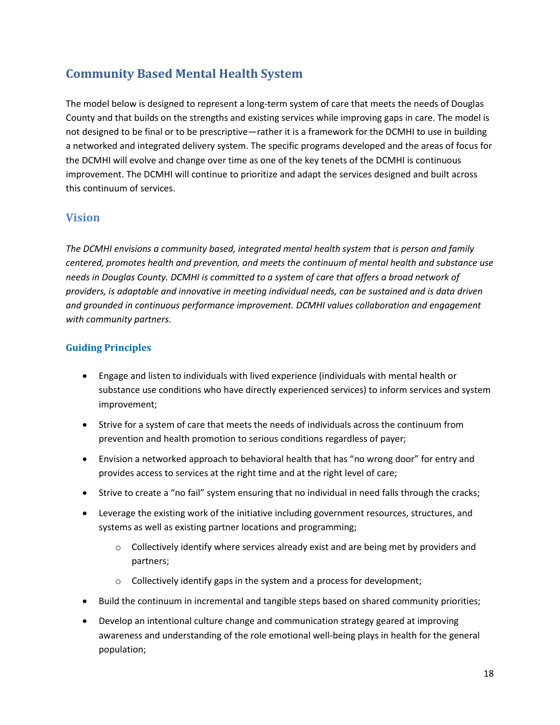# <span id="page-17-0"></span>**Community Based Mental Health System**

The model below is designed to represent a long-term system of care that meets the needs of Douglas County and that builds on the strengths and existing services while improving gaps in care. The model is not designed to be final or to be prescriptive—rather it is a framework for the DCMHI to use in building a networked and integrated delivery system. The specific programs developed and the areas of focus for the DCMHI will evolve and change over time as one of the key tenets of the DCMHI is continuous improvement. The DCMHI will continue to prioritize and adapt the services designed and built across this continuum of services.

### <span id="page-17-1"></span>**Vision**

*The DCMHI envisions a community based, integrated mental health system that is person and family centered, promotes health and prevention, and meets the continuum of mental health and substance use needs in Douglas County. DCMHI is committed to a system of care that offers a broad network of providers, is adaptable and innovative in meeting individual needs, can be sustained and is data driven and grounded in continuous performance improvement. DCMHI values collaboration and engagement with community partners.*

#### <span id="page-17-2"></span>**Guiding Principles**

- Engage and listen to individuals with lived experience (individuals with mental health or substance use conditions who have directly experienced services) to inform services and system improvement;
- Strive for a system of care that meets the needs of individuals across the continuum from prevention and health promotion to serious conditions regardless of payer;
- Envision a networked approach to behavioral health that has "no wrong door" for entry and provides access to services at the right time and at the right level of care;
- Strive to create a "no fail" system ensuring that no individual in need falls through the cracks;
- Leverage the existing work of the initiative including government resources, structures, and systems as well as existing partner locations and programming;
	- $\circ$  Collectively identify where services already exist and are being met by providers and partners;
	- o Collectively identify gaps in the system and a process for development;
- Build the continuum in incremental and tangible steps based on shared community priorities;
- Develop an intentional culture change and communication strategy geared at improving awareness and understanding of the role emotional well-being plays in health for the general population;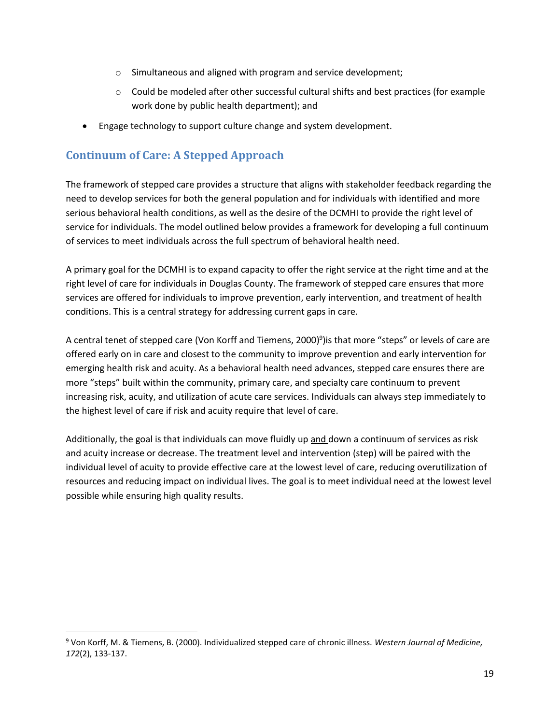- o Simultaneous and aligned with program and service development;
- $\circ$  Could be modeled after other successful cultural shifts and best practices (for example work done by public health department); and
- Engage technology to support culture change and system development.

# <span id="page-18-0"></span>**Continuum of Care: A Stepped Approach**

 $\overline{\phantom{a}}$ 

The framework of stepped care provides a structure that aligns with stakeholder feedback regarding the need to develop services for both the general population and for individuals with identified and more serious behavioral health conditions, as well as the desire of the DCMHI to provide the right level of service for individuals. The model outlined below provides a framework for developing a full continuum of services to meet individuals across the full spectrum of behavioral health need.

A primary goal for the DCMHI is to expand capacity to offer the right service at the right time and at the right level of care for individuals in Douglas County. The framework of stepped care ensures that more services are offered for individuals to improve prevention, early intervention, and treatment of health conditions. This is a central strategy for addressing current gaps in care.

A central tenet of stepped care (Von Korff and Tiemens, 2000)<sup>9</sup>)is that more "steps" or levels of care are offered early on in care and closest to the community to improve prevention and early intervention for emerging health risk and acuity. As a behavioral health need advances, stepped care ensures there are more "steps" built within the community, primary care, and specialty care continuum to prevent increasing risk, acuity, and utilization of acute care services. Individuals can always step immediately to the highest level of care if risk and acuity require that level of care.

Additionally, the goal is that individuals can move fluidly up and down a continuum of services as risk and acuity increase or decrease. The treatment level and intervention (step) will be paired with the individual level of acuity to provide effective care at the lowest level of care, reducing overutilization of resources and reducing impact on individual lives. The goal is to meet individual need at the lowest level possible while ensuring high quality results.

<sup>9</sup> Von Korff, M. & Tiemens, B. (2000). Individualized stepped care of chronic illness. *Western Journal of Medicine, 172*(2), 133-137.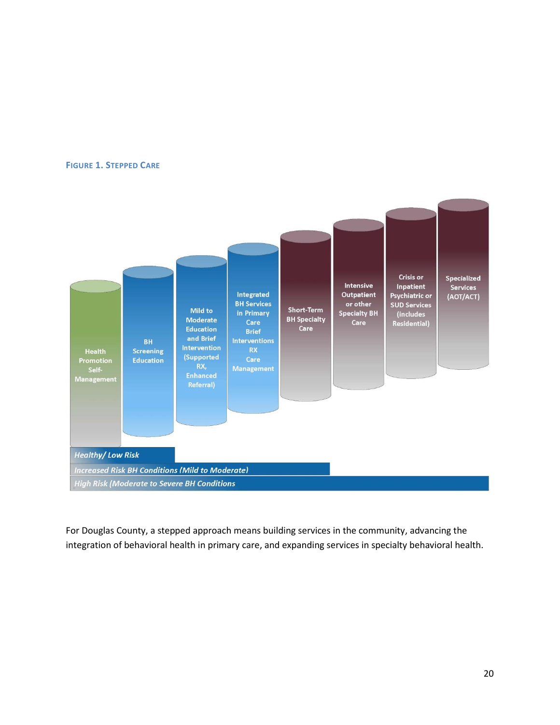#### **FIGURE 1. STEPPED CARE**



For Douglas County, a stepped approach means building services in the community, advancing the integration of behavioral health in primary care, and expanding services in specialty behavioral health.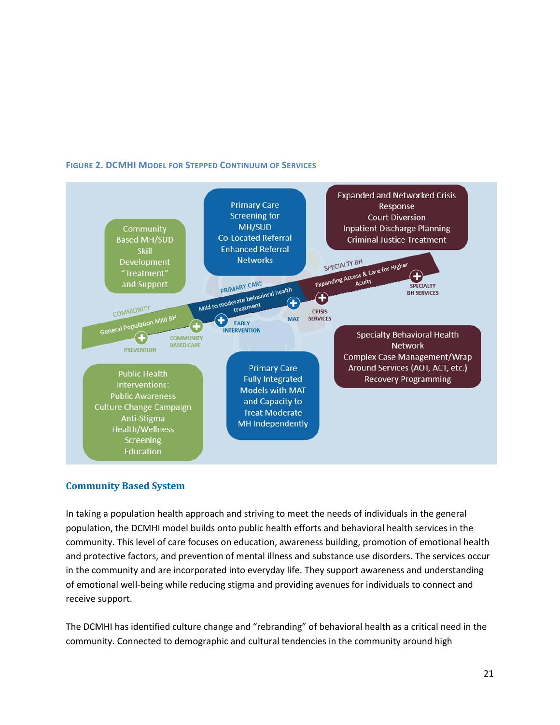

#### **FIGURE 2. DCMHI MODEL FOR STEPPED CONTINUUM OF SERVICES**

#### <span id="page-20-0"></span>**Community Based System**

In taking a population health approach and striving to meet the needs of individuals in the general population, the DCMHI model builds onto public health efforts and behavioral health services in the community. This level of care focuses on education, awareness building, promotion of emotional health and protective factors, and prevention of mental illness and substance use disorders. The services occur in the community and are incorporated into everyday life. They support awareness and understanding of emotional well-being while reducing stigma and providing avenues for individuals to connect and receive support.

The DCMHI has identified culture change and "rebranding" of behavioral health as a critical need in the community. Connected to demographic and cultural tendencies in the community around high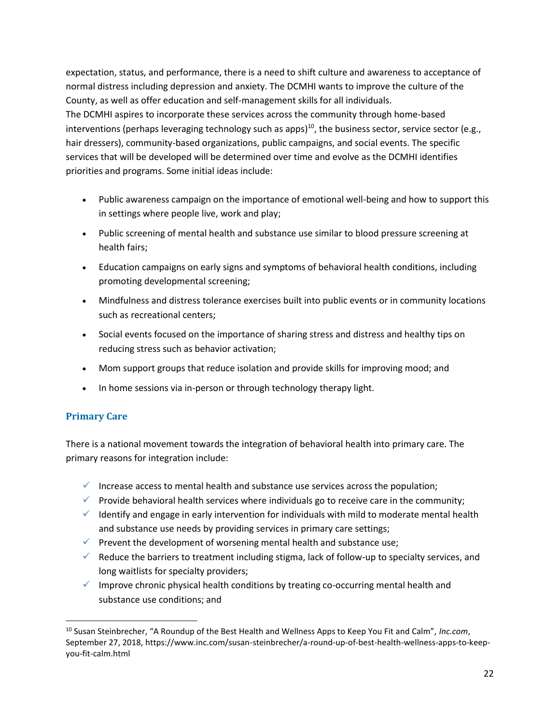expectation, status, and performance, there is a need to shift culture and awareness to acceptance of normal distress including depression and anxiety. The DCMHI wants to improve the culture of the County, as well as offer education and self-management skills for all individuals. The DCMHI aspires to incorporate these services across the community through home-based interventions (perhaps leveraging technology such as apps)<sup>10</sup>, the business sector, service sector (e.g., hair dressers), community-based organizations, public campaigns, and social events. The specific services that will be developed will be determined over time and evolve as the DCMHI identifies priorities and programs. Some initial ideas include:

- Public awareness campaign on the importance of emotional well-being and how to support this in settings where people live, work and play;
- Public screening of mental health and substance use similar to blood pressure screening at health fairs;
- Education campaigns on early signs and symptoms of behavioral health conditions, including promoting developmental screening;
- Mindfulness and distress tolerance exercises built into public events or in community locations such as recreational centers;
- Social events focused on the importance of sharing stress and distress and healthy tips on reducing stress such as behavior activation;
- Mom support groups that reduce isolation and provide skills for improving mood; and
- In home sessions via in-person or through technology therapy light.

#### <span id="page-21-0"></span>**Primary Care**

 $\overline{a}$ 

There is a national movement towards the integration of behavioral health into primary care. The primary reasons for integration include:

- $\checkmark$  Increase access to mental health and substance use services across the population;
- $\checkmark$  Provide behavioral health services where individuals go to receive care in the community;
- $\checkmark$  Identify and engage in early intervention for individuals with mild to moderate mental health and substance use needs by providing services in primary care settings;
- $\checkmark$  Prevent the development of worsening mental health and substance use;
- $\checkmark$  Reduce the barriers to treatment including stigma, lack of follow-up to specialty services, and long waitlists for specialty providers;
- $\checkmark$  Improve chronic physical health conditions by treating co-occurring mental health and substance use conditions; and

<sup>10</sup> Susan Steinbrecher, "A Roundup of the Best Health and Wellness Apps to Keep You Fit and Calm", *Inc.com*, September 27, 2018, https://www.inc.com/susan-steinbrecher/a-round-up-of-best-health-wellness-apps-to-keepyou-fit-calm.html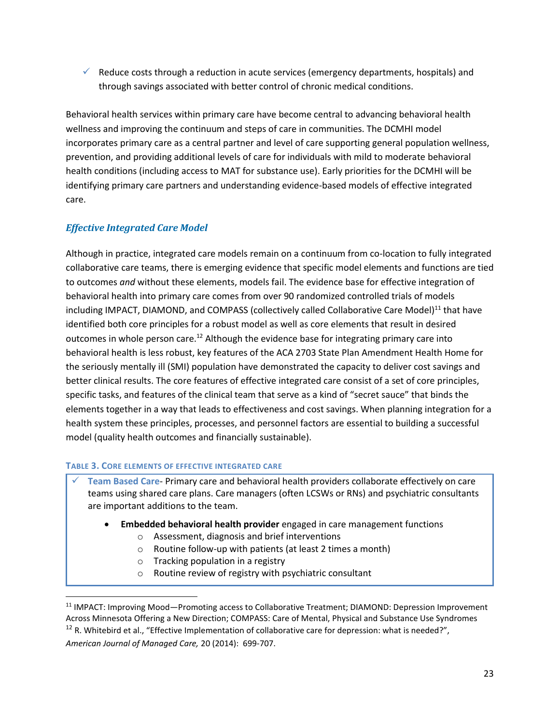$\checkmark$  Reduce costs through a reduction in acute services (emergency departments, hospitals) and through savings associated with better control of chronic medical conditions.

Behavioral health services within primary care have become central to advancing behavioral health wellness and improving the continuum and steps of care in communities. The DCMHI model incorporates primary care as a central partner and level of care supporting general population wellness, prevention, and providing additional levels of care for individuals with mild to moderate behavioral health conditions (including access to MAT for substance use). Early priorities for the DCMHI will be identifying primary care partners and understanding evidence-based models of effective integrated care.

### *Effective Integrated Care Model*

Although in practice, integrated care models remain on a continuum from co-location to fully integrated collaborative care teams, there is emerging evidence that specific model elements and functions are tied to outcomes *and* without these elements, models fail. The evidence base for effective integration of behavioral health into primary care comes from over 90 randomized controlled trials of models including IMPACT, DIAMOND, and COMPASS (collectively called Collaborative Care Model)<sup>11</sup> that have identified both core principles for a robust model as well as core elements that result in desired outcomes in whole person care.<sup>12</sup> Although the evidence base for integrating primary care into behavioral health is less robust, key features of the ACA 2703 State Plan Amendment Health Home for the seriously mentally ill (SMI) population have demonstrated the capacity to deliver cost savings and better clinical results. The core features of effective integrated care consist of a set of core principles, specific tasks, and features of the clinical team that serve as a kind of "secret sauce" that binds the elements together in a way that leads to effectiveness and cost savings. When planning integration for a health system these principles, processes, and personnel factors are essential to building a successful model (quality health outcomes and financially sustainable).

#### **TABLE 3. CORE ELEMENTS OF EFFECTIVE INTEGRATED CARE**

✓ **Team Based Care**- Primary care and behavioral health providers collaborate effectively on care teams using shared care plans. Care managers (often LCSWs or RNs) and psychiatric consultants are important additions to the team.

- **Embedded behavioral health provider** engaged in care management functions
	- o Assessment, diagnosis and brief interventions
	- o Routine follow-up with patients (at least 2 times a month)
	- o Tracking population in a registry
	- o Routine review of registry with psychiatric consultant

 $\overline{\phantom{a}}$ <sup>11</sup> IMPACT: Improving Mood—Promoting access to Collaborative Treatment; DIAMOND: Depression Improvement Across Minnesota Offering a New Direction; COMPASS: Care of Mental, Physical and Substance Use Syndromes <sup>12</sup> R. Whitebird et al., "Effective Implementation of collaborative care for depression: what is needed?", *American Journal of Managed Care,* 20 (2014): 699-707.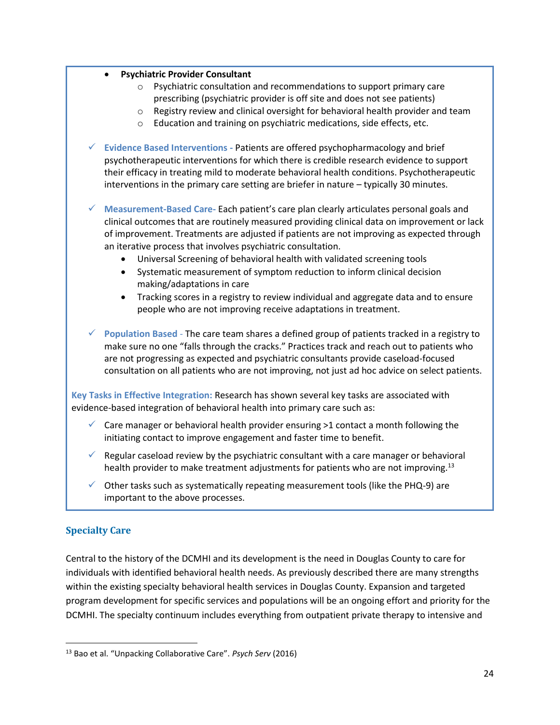- **Psychiatric Provider Consultant**
	- o Psychiatric consultation and recommendations to support primary care prescribing (psychiatric provider is off site and does not see patients)
	- o Registry review and clinical oversight for behavioral health provider and team
	- o Education and training on psychiatric medications, side effects, etc.
- ✓ **Evidence Based Interventions -** Patients are offered psychopharmacology and brief psychotherapeutic interventions for which there is credible research evidence to support their efficacy in treating mild to moderate behavioral health conditions. Psychotherapeutic interventions in the primary care setting are briefer in nature – typically 30 minutes.
- ✓ **Measurement-Based Care-** Each patient's care plan clearly articulates personal goals and clinical outcomes that are routinely measured providing clinical data on improvement or lack of improvement. Treatments are adjusted if patients are not improving as expected through an iterative process that involves psychiatric consultation.
	- Universal Screening of behavioral health with validated screening tools
	- Systematic measurement of symptom reduction to inform clinical decision making/adaptations in care
	- Tracking scores in a registry to review individual and aggregate data and to ensure people who are not improving receive adaptations in treatment.
- ✓ **Population Based** The care team shares a defined group of patients tracked in a registry to make sure no one "falls through the cracks." Practices track and reach out to patients who are not progressing as expected and psychiatric consultants provide caseload-focused consultation on all patients who are not improving, not just ad hoc advice on select patients.

**Key Tasks in Effective Integration:** Research has shown several key tasks are associated with evidence-based integration of behavioral health into primary care such as:

- $\checkmark$  Care manager or behavioral health provider ensuring >1 contact a month following the initiating contact to improve engagement and faster time to benefit.
- Regular caseload review by the psychiatric consultant with a care manager or behavioral health provider to make treatment adjustments for patients who are not improving.<sup>13</sup>
- $\checkmark$  Other tasks such as systematically repeating measurement tools (like the PHQ-9) are important to the above processes.

#### <span id="page-23-0"></span>**Specialty Care**

 $\overline{\phantom{a}}$ 

Central to the history of the DCMHI and its development is the need in Douglas County to care for individuals with identified behavioral health needs. As previously described there are many strengths within the existing specialty behavioral health services in Douglas County. Expansion and targeted program development for specific services and populations will be an ongoing effort and priority for the DCMHI. The specialty continuum includes everything from outpatient private therapy to intensive and

<sup>13</sup> Bao et al. "Unpacking Collaborative Care". *Psych Serv* (2016)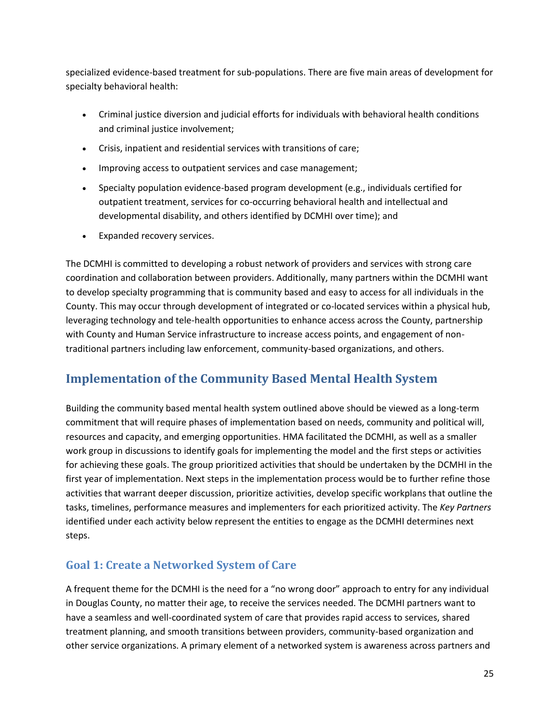specialized evidence-based treatment for sub-populations. There are five main areas of development for specialty behavioral health:

- Criminal justice diversion and judicial efforts for individuals with behavioral health conditions and criminal justice involvement;
- Crisis, inpatient and residential services with transitions of care;
- Improving access to outpatient services and case management;
- Specialty population evidence-based program development (e.g., individuals certified for outpatient treatment, services for co-occurring behavioral health and intellectual and developmental disability, and others identified by DCMHI over time); and
- Expanded recovery services.

The DCMHI is committed to developing a robust network of providers and services with strong care coordination and collaboration between providers. Additionally, many partners within the DCMHI want to develop specialty programming that is community based and easy to access for all individuals in the County. This may occur through development of integrated or co-located services within a physical hub, leveraging technology and tele-health opportunities to enhance access across the County, partnership with County and Human Service infrastructure to increase access points, and engagement of nontraditional partners including law enforcement, community-based organizations, and others.

# <span id="page-24-0"></span>**Implementation of the Community Based Mental Health System**

Building the community based mental health system outlined above should be viewed as a long-term commitment that will require phases of implementation based on needs, community and political will, resources and capacity, and emerging opportunities. HMA facilitated the DCMHI, as well as a smaller work group in discussions to identify goals for implementing the model and the first steps or activities for achieving these goals. The group prioritized activities that should be undertaken by the DCMHI in the first year of implementation. Next steps in the implementation process would be to further refine those activities that warrant deeper discussion, prioritize activities, develop specific workplans that outline the tasks, timelines, performance measures and implementers for each prioritized activity. The *Key Partners* identified under each activity below represent the entities to engage as the DCMHI determines next steps.

# <span id="page-24-1"></span>**Goal 1: Create a Networked System of Care**

A frequent theme for the DCMHI is the need for a "no wrong door" approach to entry for any individual in Douglas County, no matter their age, to receive the services needed. The DCMHI partners want to have a seamless and well-coordinated system of care that provides rapid access to services, shared treatment planning, and smooth transitions between providers, community-based organization and other service organizations. A primary element of a networked system is awareness across partners and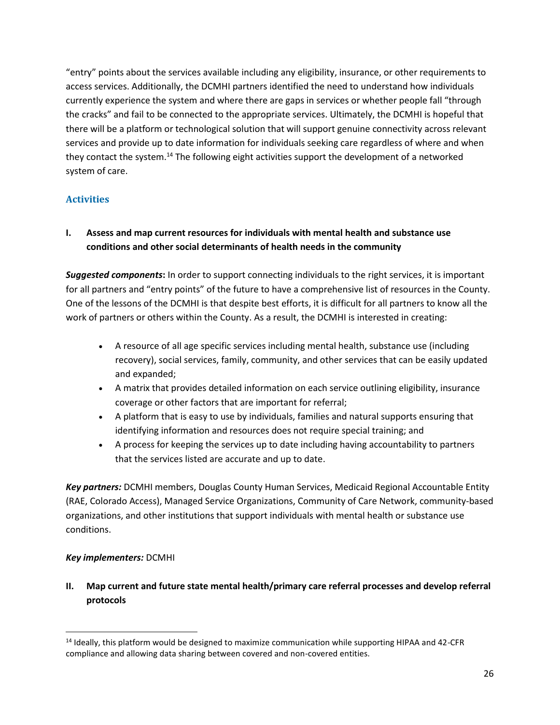"entry" points about the services available including any eligibility, insurance, or other requirements to access services. Additionally, the DCMHI partners identified the need to understand how individuals currently experience the system and where there are gaps in services or whether people fall "through the cracks" and fail to be connected to the appropriate services. Ultimately, the DCMHI is hopeful that there will be a platform or technological solution that will support genuine connectivity across relevant services and provide up to date information for individuals seeking care regardless of where and when they contact the system.<sup>14</sup> The following eight activities support the development of a networked system of care.

#### <span id="page-25-0"></span>**Activities**

#### **I. Assess and map current resources for individuals with mental health and substance use conditions and other social determinants of health needs in the community**

*Suggested components***:** In order to support connecting individuals to the right services, it is important for all partners and "entry points" of the future to have a comprehensive list of resources in the County. One of the lessons of the DCMHI is that despite best efforts, it is difficult for all partners to know all the work of partners or others within the County. As a result, the DCMHI is interested in creating:

- A resource of all age specific services including mental health, substance use (including recovery), social services, family, community, and other services that can be easily updated and expanded;
- A matrix that provides detailed information on each service outlining eligibility, insurance coverage or other factors that are important for referral;
- A platform that is easy to use by individuals, families and natural supports ensuring that identifying information and resources does not require special training; and
- A process for keeping the services up to date including having accountability to partners that the services listed are accurate and up to date.

*Key partners:* DCMHI members, Douglas County Human Services, Medicaid Regional Accountable Entity (RAE, Colorado Access), Managed Service Organizations, Community of Care Network, community-based organizations, and other institutions that support individuals with mental health or substance use conditions.

#### *Key implementers:* DCMHI

 $\overline{\phantom{a}}$ 

**II. Map current and future state mental health/primary care referral processes and develop referral protocols**

 $14$  Ideally, this platform would be designed to maximize communication while supporting HIPAA and 42-CFR compliance and allowing data sharing between covered and non-covered entities.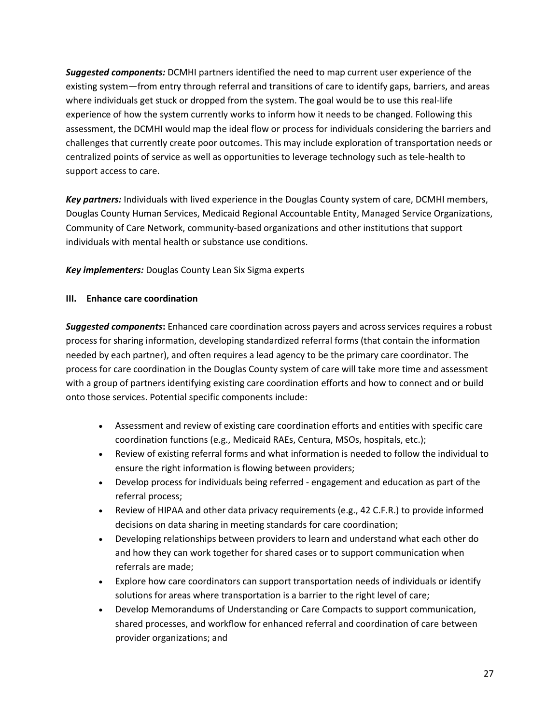*Suggested components:* DCMHI partners identified the need to map current user experience of the existing system—from entry through referral and transitions of care to identify gaps, barriers, and areas where individuals get stuck or dropped from the system. The goal would be to use this real-life experience of how the system currently works to inform how it needs to be changed. Following this assessment, the DCMHI would map the ideal flow or process for individuals considering the barriers and challenges that currently create poor outcomes. This may include exploration of transportation needs or centralized points of service as well as opportunities to leverage technology such as tele-health to support access to care.

*Key partners:* Individuals with lived experience in the Douglas County system of care, DCMHI members, Douglas County Human Services, Medicaid Regional Accountable Entity, Managed Service Organizations, Community of Care Network, community-based organizations and other institutions that support individuals with mental health or substance use conditions.

*Key implementers:* Douglas County Lean Six Sigma experts

#### **III. Enhance care coordination**

*Suggested components***:** Enhanced care coordination across payers and across services requires a robust process for sharing information, developing standardized referral forms (that contain the information needed by each partner), and often requires a lead agency to be the primary care coordinator. The process for care coordination in the Douglas County system of care will take more time and assessment with a group of partners identifying existing care coordination efforts and how to connect and or build onto those services. Potential specific components include:

- Assessment and review of existing care coordination efforts and entities with specific care coordination functions (e.g., Medicaid RAEs, Centura, MSOs, hospitals, etc.);
- Review of existing referral forms and what information is needed to follow the individual to ensure the right information is flowing between providers;
- Develop process for individuals being referred engagement and education as part of the referral process;
- Review of HIPAA and other data privacy requirements (e.g., 42 C.F.R.) to provide informed decisions on data sharing in meeting standards for care coordination;
- Developing relationships between providers to learn and understand what each other do and how they can work together for shared cases or to support communication when referrals are made;
- Explore how care coordinators can support transportation needs of individuals or identify solutions for areas where transportation is a barrier to the right level of care;
- Develop Memorandums of Understanding or Care Compacts to support communication, shared processes, and workflow for enhanced referral and coordination of care between provider organizations; and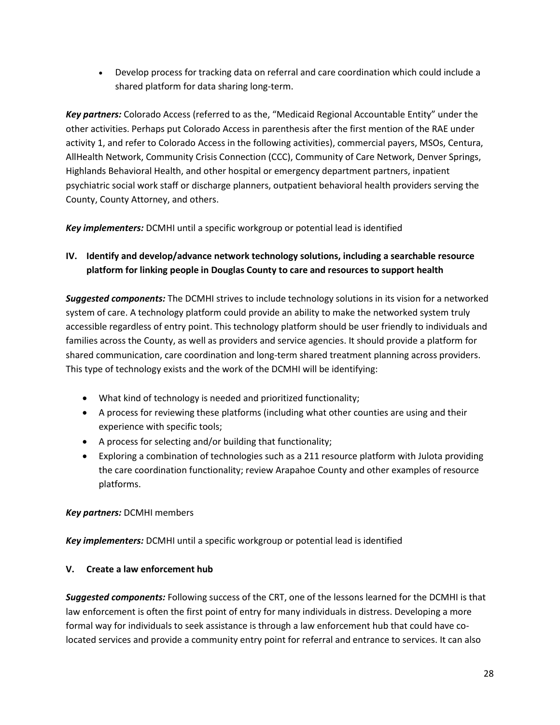• Develop process for tracking data on referral and care coordination which could include a shared platform for data sharing long-term.

*Key partners:* Colorado Access (referred to as the, "Medicaid Regional Accountable Entity" under the other activities. Perhaps put Colorado Access in parenthesis after the first mention of the RAE under activity 1, and refer to Colorado Access in the following activities), commercial payers, MSOs, Centura, AllHealth Network, Community Crisis Connection (CCC), Community of Care Network, Denver Springs, Highlands Behavioral Health, and other hospital or emergency department partners, inpatient psychiatric social work staff or discharge planners, outpatient behavioral health providers serving the County, County Attorney, and others.

*Key implementers:* DCMHI until a specific workgroup or potential lead is identified

#### **IV. Identify and develop/advance network technology solutions, including a searchable resource platform for linking people in Douglas County to care and resources to support health**

*Suggested components:* The DCMHI strives to include technology solutions in its vision for a networked system of care. A technology platform could provide an ability to make the networked system truly accessible regardless of entry point. This technology platform should be user friendly to individuals and families across the County, as well as providers and service agencies. It should provide a platform for shared communication, care coordination and long-term shared treatment planning across providers. This type of technology exists and the work of the DCMHI will be identifying:

- What kind of technology is needed and prioritized functionality;
- A process for reviewing these platforms (including what other counties are using and their experience with specific tools;
- A process for selecting and/or building that functionality;
- Exploring a combination of technologies such as a 211 resource platform with Julota providing the care coordination functionality; review Arapahoe County and other examples of resource platforms.

#### *Key partners:* DCMHI members

*Key implementers:* DCMHI until a specific workgroup or potential lead is identified

#### **V. Create a law enforcement hub**

*Suggested components:* Following success of the CRT, one of the lessons learned for the DCMHI is that law enforcement is often the first point of entry for many individuals in distress. Developing a more formal way for individuals to seek assistance is through a law enforcement hub that could have colocated services and provide a community entry point for referral and entrance to services. It can also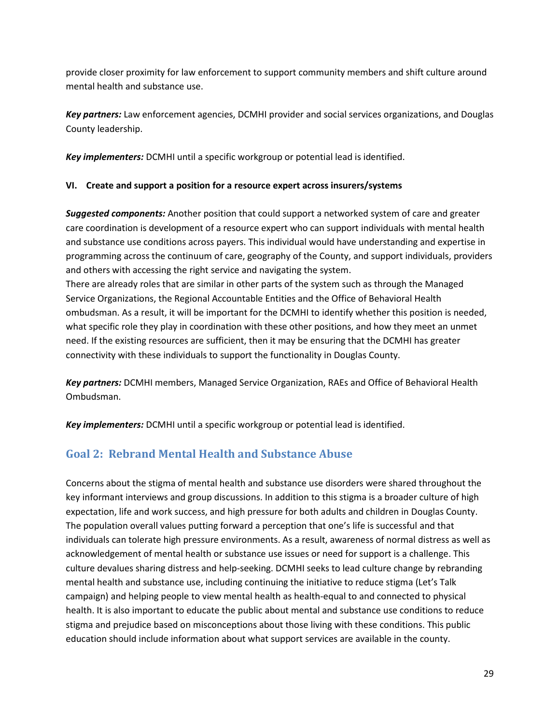provide closer proximity for law enforcement to support community members and shift culture around mental health and substance use.

*Key partners:* Law enforcement agencies, DCMHI provider and social services organizations, and Douglas County leadership.

*Key implementers:* DCMHI until a specific workgroup or potential lead is identified.

#### **VI. Create and support a position for a resource expert across insurers/systems**

*Suggested components:* Another position that could support a networked system of care and greater care coordination is development of a resource expert who can support individuals with mental health and substance use conditions across payers. This individual would have understanding and expertise in programming across the continuum of care, geography of the County, and support individuals, providers and others with accessing the right service and navigating the system.

There are already roles that are similar in other parts of the system such as through the Managed Service Organizations, the Regional Accountable Entities and the Office of Behavioral Health ombudsman. As a result, it will be important for the DCMHI to identify whether this position is needed, what specific role they play in coordination with these other positions, and how they meet an unmet need. If the existing resources are sufficient, then it may be ensuring that the DCMHI has greater connectivity with these individuals to support the functionality in Douglas County.

*Key partners:* DCMHI members, Managed Service Organization, RAEs and Office of Behavioral Health Ombudsman.

*Key implementers:* DCMHI until a specific workgroup or potential lead is identified.

# <span id="page-28-0"></span>**Goal 2: Rebrand Mental Health and Substance Abuse**

Concerns about the stigma of mental health and substance use disorders were shared throughout the key informant interviews and group discussions. In addition to this stigma is a broader culture of high expectation, life and work success, and high pressure for both adults and children in Douglas County. The population overall values putting forward a perception that one's life is successful and that individuals can tolerate high pressure environments. As a result, awareness of normal distress as well as acknowledgement of mental health or substance use issues or need for support is a challenge. This culture devalues sharing distress and help-seeking. DCMHI seeks to lead culture change by rebranding mental health and substance use, including continuing the initiative to reduce stigma (Let's Talk campaign) and helping people to view mental health as health-equal to and connected to physical health. It is also important to educate the public about mental and substance use conditions to reduce stigma and prejudice based on misconceptions about those living with these conditions. This public education should include information about what support services are available in the county.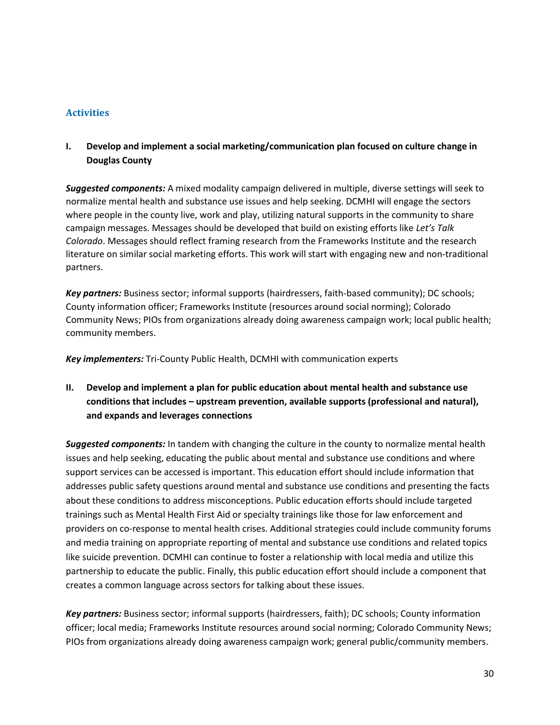#### <span id="page-29-0"></span>**Activities**

**I. Develop and implement a social marketing/communication plan focused on culture change in Douglas County** 

*Suggested components:* A mixed modality campaign delivered in multiple, diverse settings will seek to normalize mental health and substance use issues and help seeking. DCMHI will engage the sectors where people in the county live, work and play, utilizing natural supports in the community to share campaign messages. Messages should be developed that build on existing efforts like *Let's Talk Colorado*. Messages should reflect framing research from the Frameworks Institute and the research literature on similar social marketing efforts. This work will start with engaging new and non-traditional partners.

*Key partners:* Business sector; informal supports (hairdressers, faith-based community); DC schools; County information officer; Frameworks Institute (resources around social norming); Colorado Community News; PIOs from organizations already doing awareness campaign work; local public health; community members.

*Key implementers:* Tri-County Public Health, DCMHI with communication experts

**II. Develop and implement a plan for public education about mental health and substance use conditions that includes – upstream prevention, available supports (professional and natural), and expands and leverages connections**

*Suggested components:* In tandem with changing the culture in the county to normalize mental health issues and help seeking, educating the public about mental and substance use conditions and where support services can be accessed is important. This education effort should include information that addresses public safety questions around mental and substance use conditions and presenting the facts about these conditions to address misconceptions. Public education efforts should include targeted trainings such as Mental Health First Aid or specialty trainings like those for law enforcement and providers on co-response to mental health crises. Additional strategies could include community forums and media training on appropriate reporting of mental and substance use conditions and related topics like suicide prevention. DCMHI can continue to foster a relationship with local media and utilize this partnership to educate the public. Finally, this public education effort should include a component that creates a common language across sectors for talking about these issues.

*Key partners:* Business sector; informal supports (hairdressers, faith); DC schools; County information officer; local media; Frameworks Institute resources around social norming; Colorado Community News; PIOs from organizations already doing awareness campaign work; general public/community members.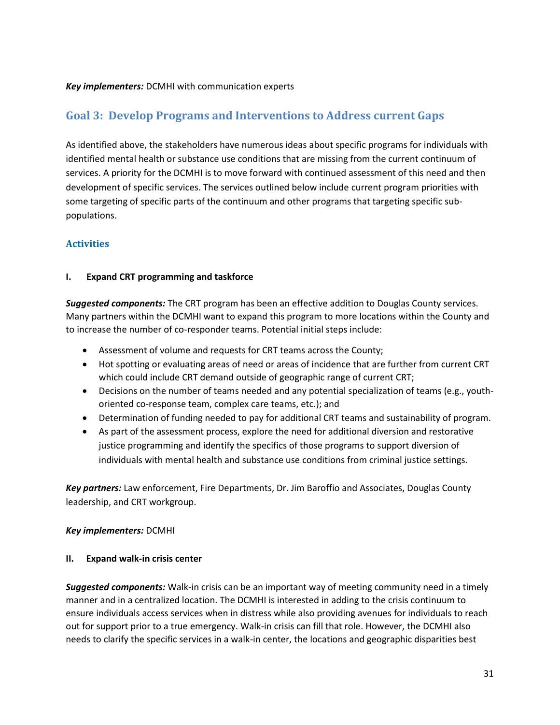#### *Key implementers:* DCMHI with communication experts

### <span id="page-30-0"></span>**Goal 3: Develop Programs and Interventions to Address current Gaps**

As identified above, the stakeholders have numerous ideas about specific programs for individuals with identified mental health or substance use conditions that are missing from the current continuum of services. A priority for the DCMHI is to move forward with continued assessment of this need and then development of specific services. The services outlined below include current program priorities with some targeting of specific parts of the continuum and other programs that targeting specific subpopulations.

#### <span id="page-30-1"></span>**Activities**

#### **I. Expand CRT programming and taskforce**

*Suggested components:* The CRT program has been an effective addition to Douglas County services. Many partners within the DCMHI want to expand this program to more locations within the County and to increase the number of co-responder teams. Potential initial steps include:

- Assessment of volume and requests for CRT teams across the County;
- Hot spotting or evaluating areas of need or areas of incidence that are further from current CRT which could include CRT demand outside of geographic range of current CRT;
- Decisions on the number of teams needed and any potential specialization of teams (e.g., youthoriented co-response team, complex care teams, etc.); and
- Determination of funding needed to pay for additional CRT teams and sustainability of program.
- As part of the assessment process, explore the need for additional diversion and restorative justice programming and identify the specifics of those programs to support diversion of individuals with mental health and substance use conditions from criminal justice settings.

*Key partners:* Law enforcement, Fire Departments, Dr. Jim Baroffio and Associates, Douglas County leadership, and CRT workgroup.

#### *Key implementers:* DCMHI

#### **II. Expand walk-in crisis center**

*Suggested components:* Walk-in crisis can be an important way of meeting community need in a timely manner and in a centralized location. The DCMHI is interested in adding to the crisis continuum to ensure individuals access services when in distress while also providing avenues for individuals to reach out for support prior to a true emergency. Walk-in crisis can fill that role. However, the DCMHI also needs to clarify the specific services in a walk-in center, the locations and geographic disparities best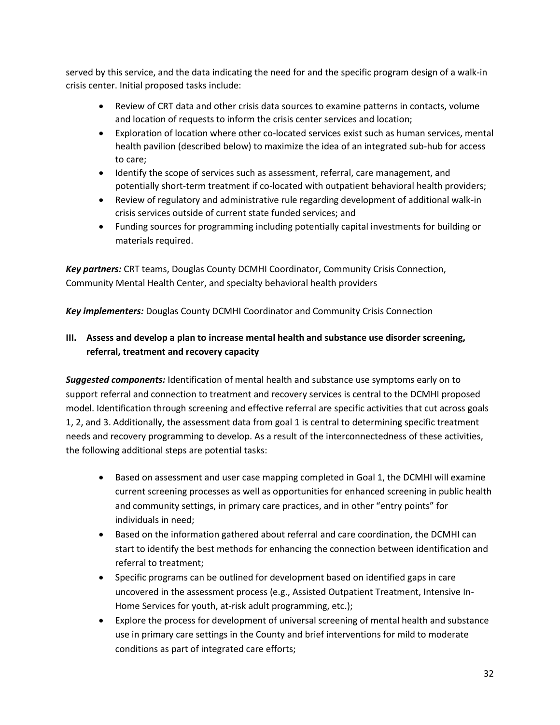served by this service, and the data indicating the need for and the specific program design of a walk-in crisis center. Initial proposed tasks include:

- Review of CRT data and other crisis data sources to examine patterns in contacts, volume and location of requests to inform the crisis center services and location;
- Exploration of location where other co-located services exist such as human services, mental health pavilion (described below) to maximize the idea of an integrated sub-hub for access to care;
- Identify the scope of services such as assessment, referral, care management, and potentially short-term treatment if co-located with outpatient behavioral health providers;
- Review of regulatory and administrative rule regarding development of additional walk-in crisis services outside of current state funded services; and
- Funding sources for programming including potentially capital investments for building or materials required.

*Key partners:* CRT teams, Douglas County DCMHI Coordinator, Community Crisis Connection, Community Mental Health Center, and specialty behavioral health providers

*Key implementers:* Douglas County DCMHI Coordinator and Community Crisis Connection

### **III. Assess and develop a plan to increase mental health and substance use disorder screening, referral, treatment and recovery capacity**

*Suggested components:* Identification of mental health and substance use symptoms early on to support referral and connection to treatment and recovery services is central to the DCMHI proposed model. Identification through screening and effective referral are specific activities that cut across goals 1, 2, and 3. Additionally, the assessment data from goal 1 is central to determining specific treatment needs and recovery programming to develop. As a result of the interconnectedness of these activities, the following additional steps are potential tasks:

- Based on assessment and user case mapping completed in Goal 1, the DCMHI will examine current screening processes as well as opportunities for enhanced screening in public health and community settings, in primary care practices, and in other "entry points" for individuals in need;
- Based on the information gathered about referral and care coordination, the DCMHI can start to identify the best methods for enhancing the connection between identification and referral to treatment;
- Specific programs can be outlined for development based on identified gaps in care uncovered in the assessment process (e.g., Assisted Outpatient Treatment, Intensive In-Home Services for youth, at-risk adult programming, etc.);
- Explore the process for development of universal screening of mental health and substance use in primary care settings in the County and brief interventions for mild to moderate conditions as part of integrated care efforts;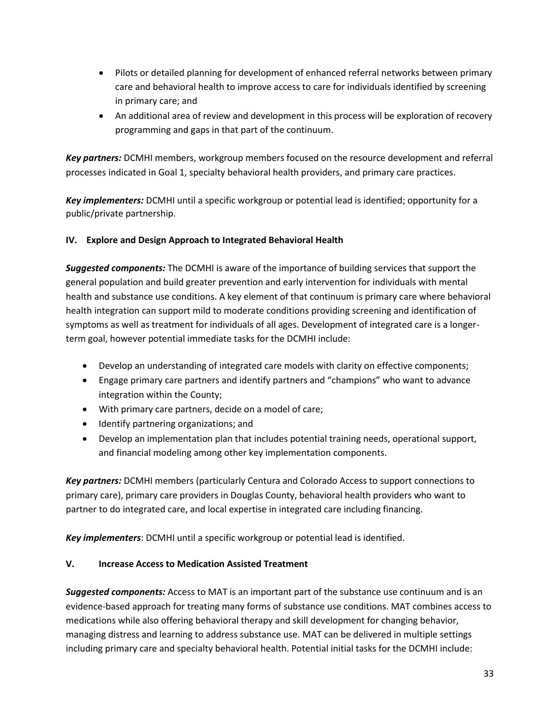- Pilots or detailed planning for development of enhanced referral networks between primary care and behavioral health to improve access to care for individuals identified by screening in primary care; and
- An additional area of review and development in this process will be exploration of recovery programming and gaps in that part of the continuum.

*Key partners:* DCMHI members, workgroup members focused on the resource development and referral processes indicated in Goal 1, specialty behavioral health providers, and primary care practices.

*Key implementers:* DCMHI until a specific workgroup or potential lead is identified; opportunity for a public/private partnership.

#### **IV. Explore and Design Approach to Integrated Behavioral Health**

*Suggested components:* The DCMHI is aware of the importance of building services that support the general population and build greater prevention and early intervention for individuals with mental health and substance use conditions. A key element of that continuum is primary care where behavioral health integration can support mild to moderate conditions providing screening and identification of symptoms as well as treatment for individuals of all ages. Development of integrated care is a longerterm goal, however potential immediate tasks for the DCMHI include:

- Develop an understanding of integrated care models with clarity on effective components;
- Engage primary care partners and identify partners and "champions" who want to advance integration within the County;
- With primary care partners, decide on a model of care;
- Identify partnering organizations; and
- Develop an implementation plan that includes potential training needs, operational support, and financial modeling among other key implementation components.

*Key partners:* DCMHI members (particularly Centura and Colorado Access to support connections to primary care), primary care providers in Douglas County, behavioral health providers who want to partner to do integrated care, and local expertise in integrated care including financing.

*Key implementers*: DCMHI until a specific workgroup or potential lead is identified.

#### **V. Increase Access to Medication Assisted Treatment**

*Suggested components:* Access to MAT is an important part of the substance use continuum and is an evidence-based approach for treating many forms of substance use conditions. MAT combines access to medications while also offering behavioral therapy and skill development for changing behavior, managing distress and learning to address substance use. MAT can be delivered in multiple settings including primary care and specialty behavioral health. Potential initial tasks for the DCMHI include: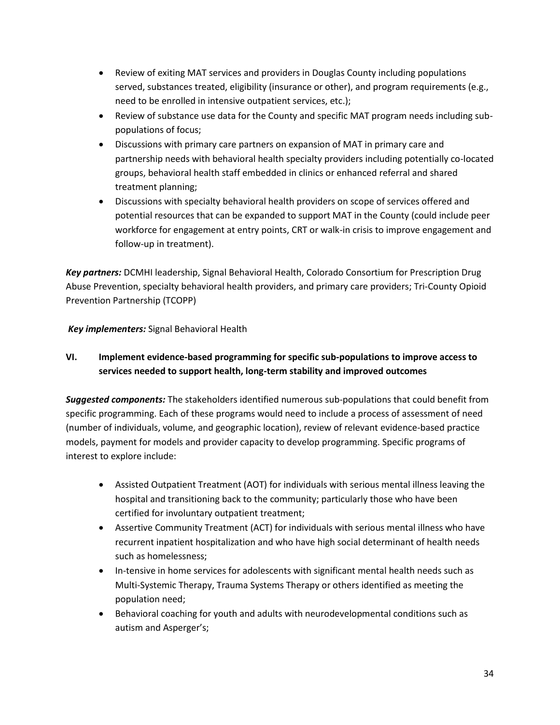- Review of exiting MAT services and providers in Douglas County including populations served, substances treated, eligibility (insurance or other), and program requirements (e.g., need to be enrolled in intensive outpatient services, etc.);
- Review of substance use data for the County and specific MAT program needs including subpopulations of focus;
- Discussions with primary care partners on expansion of MAT in primary care and partnership needs with behavioral health specialty providers including potentially co-located groups, behavioral health staff embedded in clinics or enhanced referral and shared treatment planning;
- Discussions with specialty behavioral health providers on scope of services offered and potential resources that can be expanded to support MAT in the County (could include peer workforce for engagement at entry points, CRT or walk-in crisis to improve engagement and follow-up in treatment).

*Key partners:* DCMHI leadership, Signal Behavioral Health, Colorado Consortium for Prescription Drug Abuse Prevention, specialty behavioral health providers, and primary care providers; Tri-County Opioid Prevention Partnership (TCOPP)

*Key implementers:* Signal Behavioral Health

### **VI. Implement evidence-based programming for specific sub-populations to improve access to services needed to support health, long-term stability and improved outcomes**

*Suggested components:* The stakeholders identified numerous sub-populations that could benefit from specific programming. Each of these programs would need to include a process of assessment of need (number of individuals, volume, and geographic location), review of relevant evidence-based practice models, payment for models and provider capacity to develop programming. Specific programs of interest to explore include:

- Assisted Outpatient Treatment (AOT) for individuals with serious mental illness leaving the hospital and transitioning back to the community; particularly those who have been certified for involuntary outpatient treatment;
- Assertive Community Treatment (ACT) for individuals with serious mental illness who have recurrent inpatient hospitalization and who have high social determinant of health needs such as homelessness;
- In-tensive in home services for adolescents with significant mental health needs such as Multi-Systemic Therapy, Trauma Systems Therapy or others identified as meeting the population need;
- Behavioral coaching for youth and adults with neurodevelopmental conditions such as autism and Asperger's;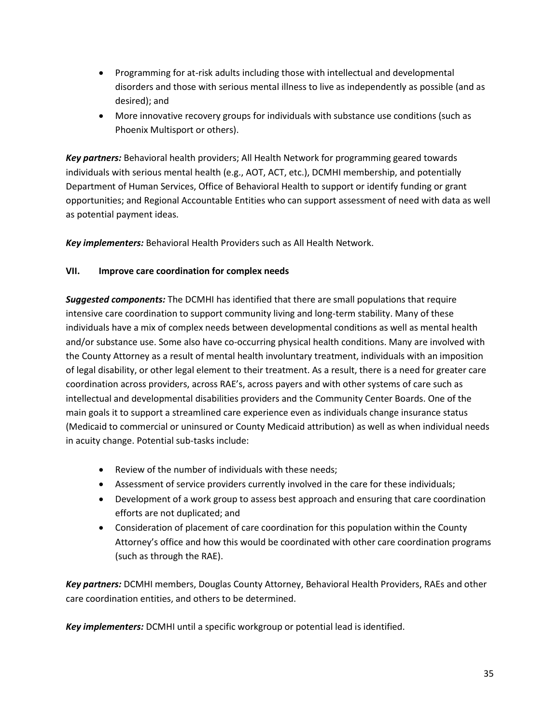- Programming for at-risk adults including those with intellectual and developmental disorders and those with serious mental illness to live as independently as possible (and as desired); and
- More innovative recovery groups for individuals with substance use conditions (such as Phoenix Multisport or others).

*Key partners:* Behavioral health providers; All Health Network for programming geared towards individuals with serious mental health (e.g., AOT, ACT, etc.), DCMHI membership, and potentially Department of Human Services, Office of Behavioral Health to support or identify funding or grant opportunities; and Regional Accountable Entities who can support assessment of need with data as well as potential payment ideas.

*Key implementers:* Behavioral Health Providers such as All Health Network.

#### **VII. Improve care coordination for complex needs**

*Suggested components:* The DCMHI has identified that there are small populations that require intensive care coordination to support community living and long-term stability. Many of these individuals have a mix of complex needs between developmental conditions as well as mental health and/or substance use. Some also have co-occurring physical health conditions. Many are involved with the County Attorney as a result of mental health involuntary treatment, individuals with an imposition of legal disability, or other legal element to their treatment. As a result, there is a need for greater care coordination across providers, across RAE's, across payers and with other systems of care such as intellectual and developmental disabilities providers and the Community Center Boards. One of the main goals it to support a streamlined care experience even as individuals change insurance status (Medicaid to commercial or uninsured or County Medicaid attribution) as well as when individual needs in acuity change. Potential sub-tasks include:

- Review of the number of individuals with these needs;
- Assessment of service providers currently involved in the care for these individuals;
- Development of a work group to assess best approach and ensuring that care coordination efforts are not duplicated; and
- Consideration of placement of care coordination for this population within the County Attorney's office and how this would be coordinated with other care coordination programs (such as through the RAE).

*Key partners:* DCMHI members, Douglas County Attorney, Behavioral Health Providers, RAEs and other care coordination entities, and others to be determined.

*Key implementers:* DCMHI until a specific workgroup or potential lead is identified.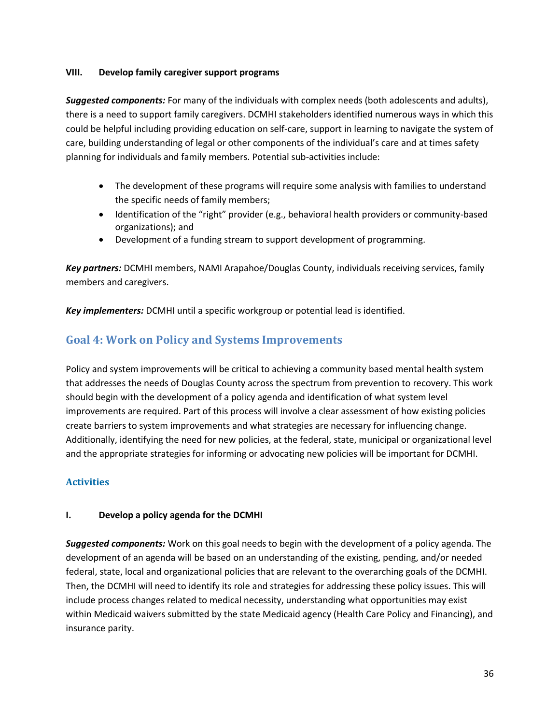#### **VIII. Develop family caregiver support programs**

*Suggested components:* For many of the individuals with complex needs (both adolescents and adults), there is a need to support family caregivers. DCMHI stakeholders identified numerous ways in which this could be helpful including providing education on self-care, support in learning to navigate the system of care, building understanding of legal or other components of the individual's care and at times safety planning for individuals and family members. Potential sub-activities include:

- The development of these programs will require some analysis with families to understand the specific needs of family members;
- Identification of the "right" provider (e.g., behavioral health providers or community-based organizations); and
- Development of a funding stream to support development of programming.

*Key partners:* DCMHI members, NAMI Arapahoe/Douglas County, individuals receiving services, family members and caregivers.

*Key implementers:* DCMHI until a specific workgroup or potential lead is identified.

# <span id="page-35-0"></span>**Goal 4: Work on Policy and Systems Improvements**

Policy and system improvements will be critical to achieving a community based mental health system that addresses the needs of Douglas County across the spectrum from prevention to recovery. This work should begin with the development of a policy agenda and identification of what system level improvements are required. Part of this process will involve a clear assessment of how existing policies create barriers to system improvements and what strategies are necessary for influencing change. Additionally, identifying the need for new policies, at the federal, state, municipal or organizational level and the appropriate strategies for informing or advocating new policies will be important for DCMHI.

#### <span id="page-35-1"></span>**Activities**

#### **I. Develop a policy agenda for the DCMHI**

*Suggested components:* Work on this goal needs to begin with the development of a policy agenda. The development of an agenda will be based on an understanding of the existing, pending, and/or needed federal, state, local and organizational policies that are relevant to the overarching goals of the DCMHI. Then, the DCMHI will need to identify its role and strategies for addressing these policy issues. This will include process changes related to medical necessity, understanding what opportunities may exist within Medicaid waivers submitted by the state Medicaid agency (Health Care Policy and Financing), and insurance parity.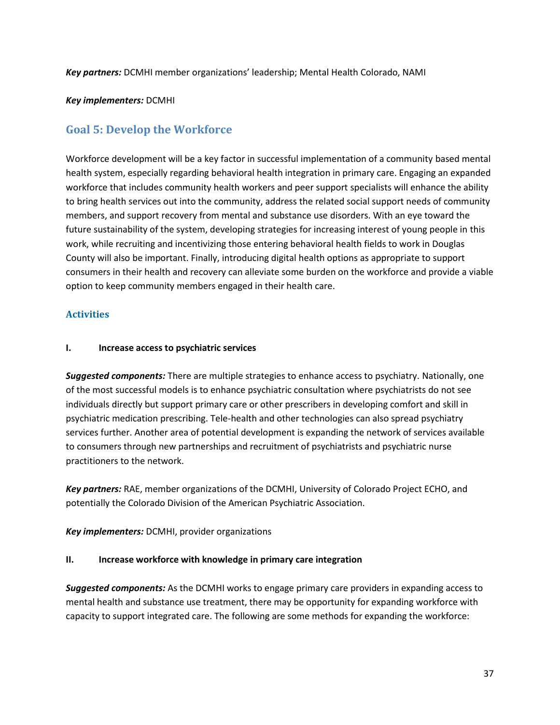*Key partners:* DCMHI member organizations' leadership; Mental Health Colorado, NAMI

#### *Key implementers:* DCMHI

# <span id="page-36-0"></span>**Goal 5: Develop the Workforce**

Workforce development will be a key factor in successful implementation of a community based mental health system, especially regarding behavioral health integration in primary care. Engaging an expanded workforce that includes community health workers and peer support specialists will enhance the ability to bring health services out into the community, address the related social support needs of community members, and support recovery from mental and substance use disorders. With an eye toward the future sustainability of the system, developing strategies for increasing interest of young people in this work, while recruiting and incentivizing those entering behavioral health fields to work in Douglas County will also be important. Finally, introducing digital health options as appropriate to support consumers in their health and recovery can alleviate some burden on the workforce and provide a viable option to keep community members engaged in their health care.

#### <span id="page-36-1"></span>**Activities**

#### **I. Increase access to psychiatric services**

*Suggested components:* There are multiple strategies to enhance access to psychiatry. Nationally, one of the most successful models is to enhance psychiatric consultation where psychiatrists do not see individuals directly but support primary care or other prescribers in developing comfort and skill in psychiatric medication prescribing. Tele-health and other technologies can also spread psychiatry services further. Another area of potential development is expanding the network of services available to consumers through new partnerships and recruitment of psychiatrists and psychiatric nurse practitioners to the network.

*Key partners:* RAE, member organizations of the DCMHI, University of Colorado Project ECHO, and potentially the Colorado Division of the American Psychiatric Association.

*Key implementers:* DCMHI, provider organizations

#### **II. Increase workforce with knowledge in primary care integration**

*Suggested components:* As the DCMHI works to engage primary care providers in expanding access to mental health and substance use treatment, there may be opportunity for expanding workforce with capacity to support integrated care. The following are some methods for expanding the workforce: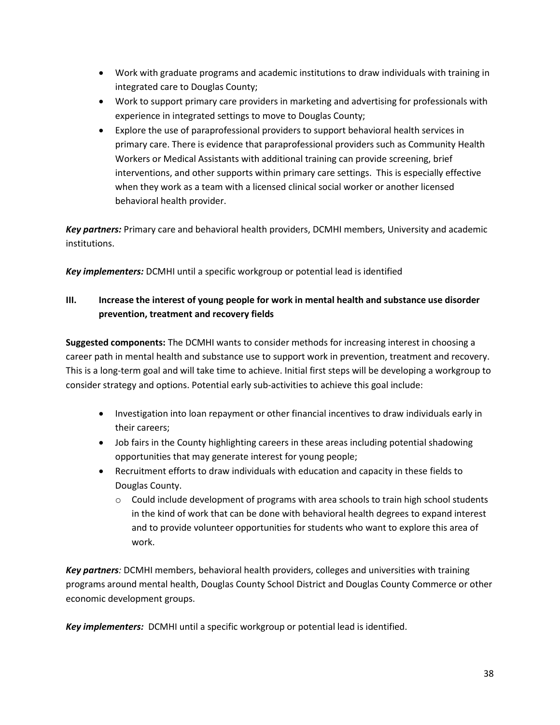- Work with graduate programs and academic institutions to draw individuals with training in integrated care to Douglas County;
- Work to support primary care providers in marketing and advertising for professionals with experience in integrated settings to move to Douglas County;
- Explore the use of paraprofessional providers to support behavioral health services in primary care. There is evidence that paraprofessional providers such as Community Health Workers or Medical Assistants with additional training can provide screening, brief interventions, and other supports within primary care settings. This is especially effective when they work as a team with a licensed clinical social worker or another licensed behavioral health provider.

*Key partners:* Primary care and behavioral health providers, DCMHI members, University and academic institutions.

*Key implementers:* DCMHI until a specific workgroup or potential lead is identified

#### **III. Increase the interest of young people for work in mental health and substance use disorder prevention, treatment and recovery fields**

**Suggested components:** The DCMHI wants to consider methods for increasing interest in choosing a career path in mental health and substance use to support work in prevention, treatment and recovery. This is a long-term goal and will take time to achieve. Initial first steps will be developing a workgroup to consider strategy and options. Potential early sub-activities to achieve this goal include:

- Investigation into loan repayment or other financial incentives to draw individuals early in their careers;
- Job fairs in the County highlighting careers in these areas including potential shadowing opportunities that may generate interest for young people;
- Recruitment efforts to draw individuals with education and capacity in these fields to Douglas County.
	- $\circ$  Could include development of programs with area schools to train high school students in the kind of work that can be done with behavioral health degrees to expand interest and to provide volunteer opportunities for students who want to explore this area of work.

*Key partners:* DCMHI members, behavioral health providers, colleges and universities with training programs around mental health, Douglas County School District and Douglas County Commerce or other economic development groups.

*Key implementers:* DCMHI until a specific workgroup or potential lead is identified.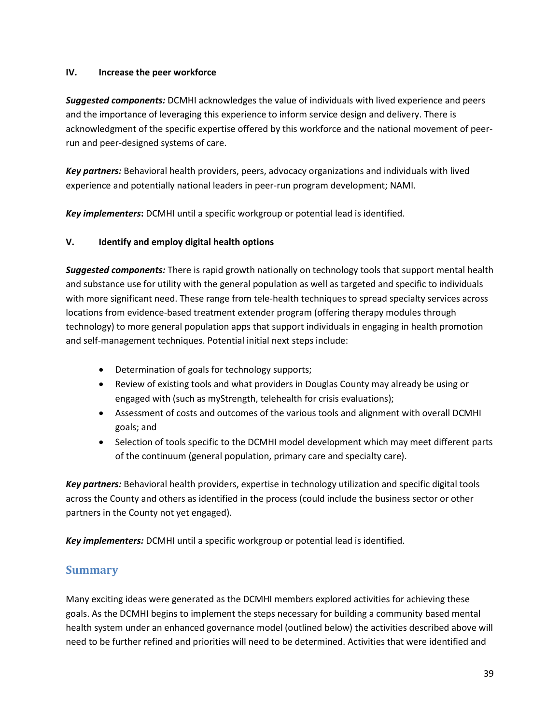#### **IV. Increase the peer workforce**

*Suggested components:* DCMHI acknowledges the value of individuals with lived experience and peers and the importance of leveraging this experience to inform service design and delivery. There is acknowledgment of the specific expertise offered by this workforce and the national movement of peerrun and peer-designed systems of care.

*Key partners:* Behavioral health providers, peers, advocacy organizations and individuals with lived experience and potentially national leaders in peer-run program development; NAMI.

*Key implementers***:** DCMHI until a specific workgroup or potential lead is identified.

#### **V. Identify and employ digital health options**

*Suggested components:* There is rapid growth nationally on technology tools that support mental health and substance use for utility with the general population as well as targeted and specific to individuals with more significant need. These range from tele-health techniques to spread specialty services across locations from evidence-based treatment extender program (offering therapy modules through technology) to more general population apps that support individuals in engaging in health promotion and self-management techniques. Potential initial next steps include:

- Determination of goals for technology supports;
- Review of existing tools and what providers in Douglas County may already be using or engaged with (such as myStrength, telehealth for crisis evaluations);
- Assessment of costs and outcomes of the various tools and alignment with overall DCMHI goals; and
- Selection of tools specific to the DCMHI model development which may meet different parts of the continuum (general population, primary care and specialty care).

*Key partners:* Behavioral health providers, expertise in technology utilization and specific digital tools across the County and others as identified in the process (could include the business sector or other partners in the County not yet engaged).

*Key implementers:* DCMHI until a specific workgroup or potential lead is identified.

# <span id="page-38-0"></span>**Summary**

Many exciting ideas were generated as the DCMHI members explored activities for achieving these goals. As the DCMHI begins to implement the steps necessary for building a community based mental health system under an enhanced governance model (outlined below) the activities described above will need to be further refined and priorities will need to be determined. Activities that were identified and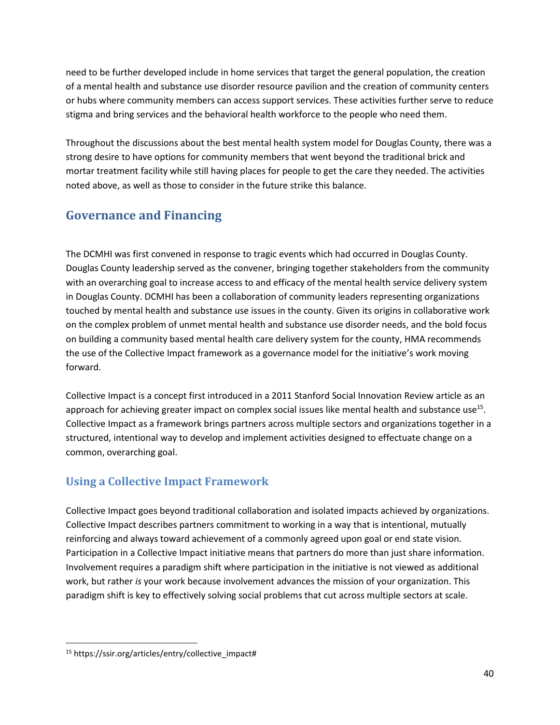need to be further developed include in home services that target the general population, the creation of a mental health and substance use disorder resource pavilion and the creation of community centers or hubs where community members can access support services. These activities further serve to reduce stigma and bring services and the behavioral health workforce to the people who need them.

Throughout the discussions about the best mental health system model for Douglas County, there was a strong desire to have options for community members that went beyond the traditional brick and mortar treatment facility while still having places for people to get the care they needed. The activities noted above, as well as those to consider in the future strike this balance.

# <span id="page-39-0"></span>**Governance and Financing**

The DCMHI was first convened in response to tragic events which had occurred in Douglas County. Douglas County leadership served as the convener, bringing together stakeholders from the community with an overarching goal to increase access to and efficacy of the mental health service delivery system in Douglas County. DCMHI has been a collaboration of community leaders representing organizations touched by mental health and substance use issues in the county. Given its origins in collaborative work on the complex problem of unmet mental health and substance use disorder needs, and the bold focus on building a community based mental health care delivery system for the county, HMA recommends the use of the Collective Impact framework as a governance model for the initiative's work moving forward.

Collective Impact is a concept first introduced in a 2011 Stanford Social Innovation Review article as an approach for achieving greater impact on complex social issues like mental health and substance use<sup>15</sup>. Collective Impact as a framework brings partners across multiple sectors and organizations together in a structured, intentional way to develop and implement activities designed to effectuate change on a common, overarching goal.

# <span id="page-39-1"></span>**Using a Collective Impact Framework**

Collective Impact goes beyond traditional collaboration and isolated impacts achieved by organizations. Collective Impact describes partners commitment to working in a way that is intentional, mutually reinforcing and always toward achievement of a commonly agreed upon goal or end state vision. Participation in a Collective Impact initiative means that partners do more than just share information. Involvement requires a paradigm shift where participation in the initiative is not viewed as additional work, but rather *is* your work because involvement advances the mission of your organization. This paradigm shift is key to effectively solving social problems that cut across multiple sectors at scale.

 $\overline{\phantom{a}}$ 

<sup>15</sup> https://ssir.org/articles/entry/collective\_impact#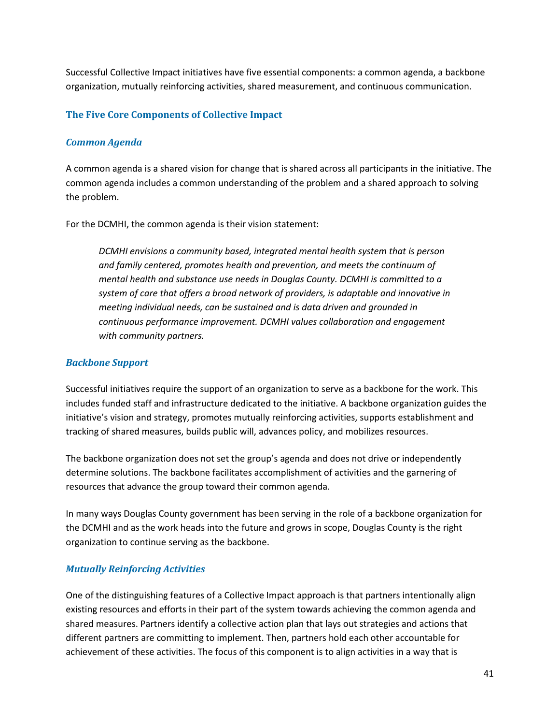Successful Collective Impact initiatives have five essential components: a common agenda, a backbone organization, mutually reinforcing activities, shared measurement, and continuous communication.

#### <span id="page-40-0"></span>**The Five Core Components of Collective Impact**

#### *Common Agenda*

A common agenda is a shared vision for change that is shared across all participants in the initiative. The common agenda includes a common understanding of the problem and a shared approach to solving the problem.

For the DCMHI, the common agenda is their vision statement:

*DCMHI envisions a community based, integrated mental health system that is person and family centered, promotes health and prevention, and meets the continuum of mental health and substance use needs in Douglas County. DCMHI is committed to a system of care that offers a broad network of providers, is adaptable and innovative in meeting individual needs, can be sustained and is data driven and grounded in continuous performance improvement. DCMHI values collaboration and engagement with community partners.*

#### *Backbone Support*

Successful initiatives require the support of an organization to serve as a backbone for the work. This includes funded staff and infrastructure dedicated to the initiative. A backbone organization guides the initiative's vision and strategy, promotes mutually reinforcing activities, supports establishment and tracking of shared measures, builds public will, advances policy, and mobilizes resources.

The backbone organization does not set the group's agenda and does not drive or independently determine solutions. The backbone facilitates accomplishment of activities and the garnering of resources that advance the group toward their common agenda.

In many ways Douglas County government has been serving in the role of a backbone organization for the DCMHI and as the work heads into the future and grows in scope, Douglas County is the right organization to continue serving as the backbone.

#### *Mutually Reinforcing Activities*

One of the distinguishing features of a Collective Impact approach is that partners intentionally align existing resources and efforts in their part of the system towards achieving the common agenda and shared measures. Partners identify a collective action plan that lays out strategies and actions that different partners are committing to implement. Then, partners hold each other accountable for achievement of these activities. The focus of this component is to align activities in a way that is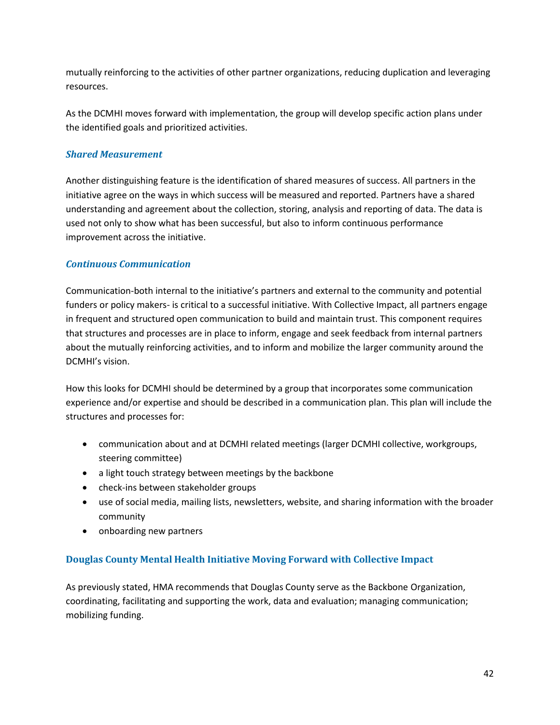mutually reinforcing to the activities of other partner organizations, reducing duplication and leveraging resources.

As the DCMHI moves forward with implementation, the group will develop specific action plans under the identified goals and prioritized activities.

#### *Shared Measurement*

Another distinguishing feature is the identification of shared measures of success. All partners in the initiative agree on the ways in which success will be measured and reported. Partners have a shared understanding and agreement about the collection, storing, analysis and reporting of data. The data is used not only to show what has been successful, but also to inform continuous performance improvement across the initiative.

#### *Continuous Communication*

Communication-both internal to the initiative's partners and external to the community and potential funders or policy makers- is critical to a successful initiative. With Collective Impact, all partners engage in frequent and structured open communication to build and maintain trust. This component requires that structures and processes are in place to inform, engage and seek feedback from internal partners about the mutually reinforcing activities, and to inform and mobilize the larger community around the DCMHI's vision.

How this looks for DCMHI should be determined by a group that incorporates some communication experience and/or expertise and should be described in a communication plan. This plan will include the structures and processes for:

- communication about and at DCMHI related meetings (larger DCMHI collective, workgroups, steering committee)
- a light touch strategy between meetings by the backbone
- check-ins between stakeholder groups
- use of social media, mailing lists, newsletters, website, and sharing information with the broader community
- onboarding new partners

#### <span id="page-41-0"></span>**Douglas County Mental Health Initiative Moving Forward with Collective Impact**

As previously stated, HMA recommends that Douglas County serve as the Backbone Organization, coordinating, facilitating and supporting the work, data and evaluation; managing communication; mobilizing funding.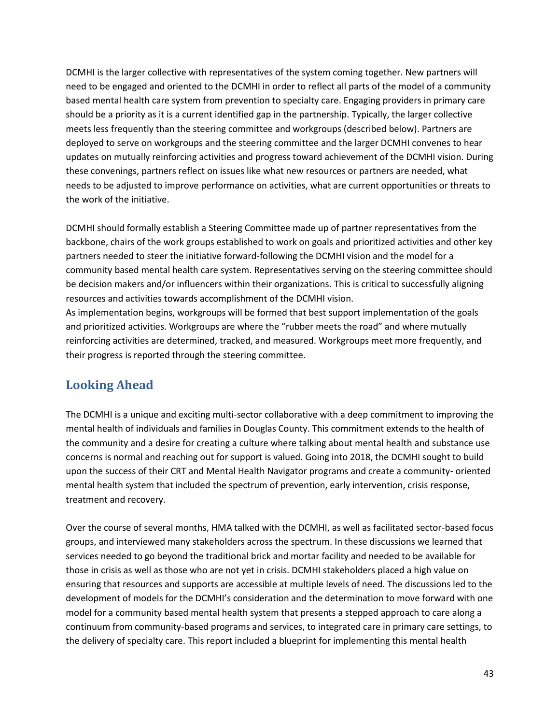DCMHI is the larger collective with representatives of the system coming together. New partners will need to be engaged and oriented to the DCMHI in order to reflect all parts of the model of a community based mental health care system from prevention to specialty care. Engaging providers in primary care should be a priority as it is a current identified gap in the partnership. Typically, the larger collective meets less frequently than the steering committee and workgroups (described below). Partners are deployed to serve on workgroups and the steering committee and the larger DCMHI convenes to hear updates on mutually reinforcing activities and progress toward achievement of the DCMHI vision. During these convenings, partners reflect on issues like what new resources or partners are needed, what needs to be adjusted to improve performance on activities, what are current opportunities or threats to the work of the initiative.

DCMHI should formally establish a Steering Committee made up of partner representatives from the backbone, chairs of the work groups established to work on goals and prioritized activities and other key partners needed to steer the initiative forward-following the DCMHI vision and the model for a community based mental health care system. Representatives serving on the steering committee should be decision makers and/or influencers within their organizations. This is critical to successfully aligning resources and activities towards accomplishment of the DCMHI vision.

As implementation begins, workgroups will be formed that best support implementation of the goals and prioritized activities. Workgroups are where the "rubber meets the road" and where mutually reinforcing activities are determined, tracked, and measured. Workgroups meet more frequently, and their progress is reported through the steering committee.

# <span id="page-42-0"></span>**Looking Ahead**

The DCMHI is a unique and exciting multi-sector collaborative with a deep commitment to improving the mental health of individuals and families in Douglas County. This commitment extends to the health of the community and a desire for creating a culture where talking about mental health and substance use concerns is normal and reaching out for support is valued. Going into 2018, the DCMHI sought to build upon the success of their CRT and Mental Health Navigator programs and create a community- oriented mental health system that included the spectrum of prevention, early intervention, crisis response, treatment and recovery.

Over the course of several months, HMA talked with the DCMHI, as well as facilitated sector-based focus groups, and interviewed many stakeholders across the spectrum. In these discussions we learned that services needed to go beyond the traditional brick and mortar facility and needed to be available for those in crisis as well as those who are not yet in crisis. DCMHI stakeholders placed a high value on ensuring that resources and supports are accessible at multiple levels of need. The discussions led to the development of models for the DCMHI's consideration and the determination to move forward with one model for a community based mental health system that presents a stepped approach to care along a continuum from community-based programs and services, to integrated care in primary care settings, to the delivery of specialty care. This report included a blueprint for implementing this mental health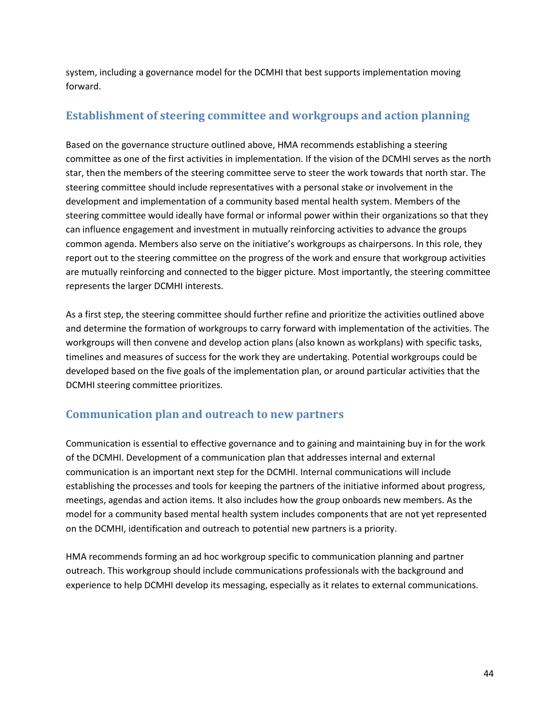system, including a governance model for the DCMHI that best supports implementation moving forward.

# <span id="page-43-0"></span>**Establishment of steering committee and workgroups and action planning**

Based on the governance structure outlined above, HMA recommends establishing a steering committee as one of the first activities in implementation. If the vision of the DCMHI serves as the north star, then the members of the steering committee serve to steer the work towards that north star. The steering committee should include representatives with a personal stake or involvement in the development and implementation of a community based mental health system. Members of the steering committee would ideally have formal or informal power within their organizations so that they can influence engagement and investment in mutually reinforcing activities to advance the groups common agenda. Members also serve on the initiative's workgroups as chairpersons. In this role, they report out to the steering committee on the progress of the work and ensure that workgroup activities are mutually reinforcing and connected to the bigger picture. Most importantly, the steering committee represents the larger DCMHI interests.

As a first step, the steering committee should further refine and prioritize the activities outlined above and determine the formation of workgroups to carry forward with implementation of the activities. The workgroups will then convene and develop action plans (also known as workplans) with specific tasks, timelines and measures of success for the work they are undertaking. Potential workgroups could be developed based on the five goals of the implementation plan, or around particular activities that the DCMHI steering committee prioritizes.

# <span id="page-43-1"></span>**Communication plan and outreach to new partners**

Communication is essential to effective governance and to gaining and maintaining buy in for the work of the DCMHI. Development of a communication plan that addresses internal and external communication is an important next step for the DCMHI. Internal communications will include establishing the processes and tools for keeping the partners of the initiative informed about progress, meetings, agendas and action items. It also includes how the group onboards new members. As the model for a community based mental health system includes components that are not yet represented on the DCMHI, identification and outreach to potential new partners is a priority.

HMA recommends forming an ad hoc workgroup specific to communication planning and partner outreach. This workgroup should include communications professionals with the background and experience to help DCMHI develop its messaging, especially as it relates to external communications.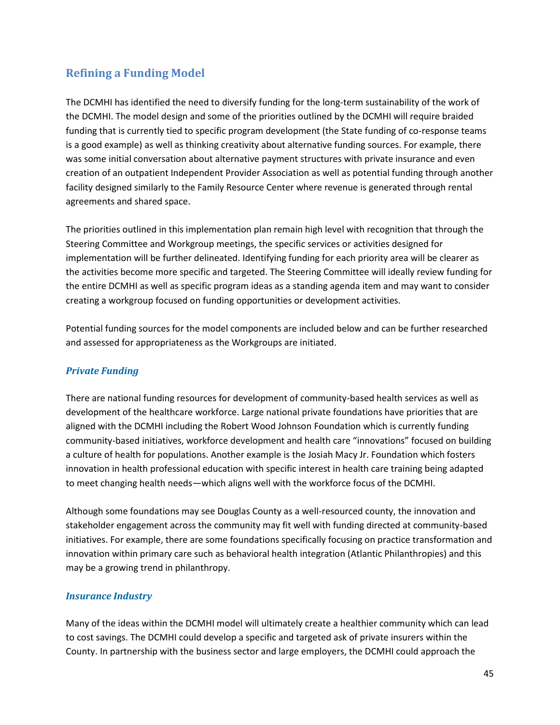# **Refining a Funding Model**

The DCMHI has identified the need to diversify funding for the long-term sustainability of the work of the DCMHI. The model design and some of the priorities outlined by the DCMHI will require braided funding that is currently tied to specific program development (the State funding of co-response teams is a good example) as well as thinking creativity about alternative funding sources. For example, there was some initial conversation about alternative payment structures with private insurance and even creation of an outpatient Independent Provider Association as well as potential funding through another facility designed similarly to the Family Resource Center where revenue is generated through rental agreements and shared space.

The priorities outlined in this implementation plan remain high level with recognition that through the Steering Committee and Workgroup meetings, the specific services or activities designed for implementation will be further delineated. Identifying funding for each priority area will be clearer as the activities become more specific and targeted. The Steering Committee will ideally review funding for the entire DCMHI as well as specific program ideas as a standing agenda item and may want to consider creating a workgroup focused on funding opportunities or development activities.

Potential funding sources for the model components are included below and can be further researched and assessed for appropriateness as the Workgroups are initiated.

#### *Private Funding*

There are national funding resources for development of community-based health services as well as development of the healthcare workforce. Large national private foundations have priorities that are aligned with the DCMHI including the Robert Wood Johnson Foundation which is currently funding community-based initiatives, workforce development and health care "innovations" focused on building a culture of health for populations. Another example is the Josiah Macy Jr. Foundation which fosters innovation in health professional education with specific interest in health care training being adapted to meet changing health needs—which aligns well with the workforce focus of the DCMHI.

Although some foundations may see Douglas County as a well-resourced county, the innovation and stakeholder engagement across the community may fit well with funding directed at community-based initiatives. For example, there are some foundations specifically focusing on practice transformation and innovation within primary care such as behavioral health integration (Atlantic Philanthropies) and this may be a growing trend in philanthropy.

#### *Insurance Industry*

Many of the ideas within the DCMHI model will ultimately create a healthier community which can lead to cost savings. The DCMHI could develop a specific and targeted ask of private insurers within the County. In partnership with the business sector and large employers, the DCMHI could approach the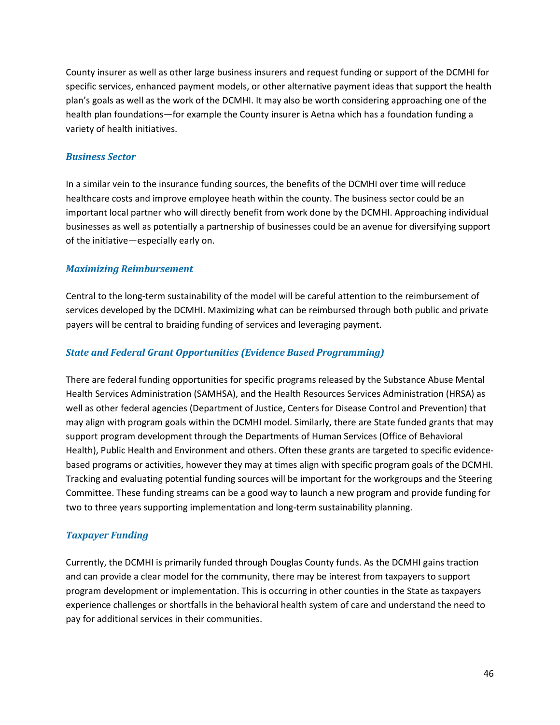County insurer as well as other large business insurers and request funding or support of the DCMHI for specific services, enhanced payment models, or other alternative payment ideas that support the health plan's goals as well as the work of the DCMHI. It may also be worth considering approaching one of the health plan foundations—for example the County insurer is Aetna which has a foundation funding a variety of health initiatives.

#### *Business Sector*

In a similar vein to the insurance funding sources, the benefits of the DCMHI over time will reduce healthcare costs and improve employee heath within the county. The business sector could be an important local partner who will directly benefit from work done by the DCMHI. Approaching individual businesses as well as potentially a partnership of businesses could be an avenue for diversifying support of the initiative—especially early on.

#### *Maximizing Reimbursement*

Central to the long-term sustainability of the model will be careful attention to the reimbursement of services developed by the DCMHI. Maximizing what can be reimbursed through both public and private payers will be central to braiding funding of services and leveraging payment.

#### *State and Federal Grant Opportunities (Evidence Based Programming)*

There are federal funding opportunities for specific programs released by the Substance Abuse Mental Health Services Administration (SAMHSA), and the Health Resources Services Administration (HRSA) as well as other federal agencies (Department of Justice, Centers for Disease Control and Prevention) that may align with program goals within the DCMHI model. Similarly, there are State funded grants that may support program development through the Departments of Human Services (Office of Behavioral Health), Public Health and Environment and others. Often these grants are targeted to specific evidencebased programs or activities, however they may at times align with specific program goals of the DCMHI. Tracking and evaluating potential funding sources will be important for the workgroups and the Steering Committee. These funding streams can be a good way to launch a new program and provide funding for two to three years supporting implementation and long-term sustainability planning.

#### *Taxpayer Funding*

Currently, the DCMHI is primarily funded through Douglas County funds. As the DCMHI gains traction and can provide a clear model for the community, there may be interest from taxpayers to support program development or implementation. This is occurring in other counties in the State as taxpayers experience challenges or shortfalls in the behavioral health system of care and understand the need to pay for additional services in their communities.